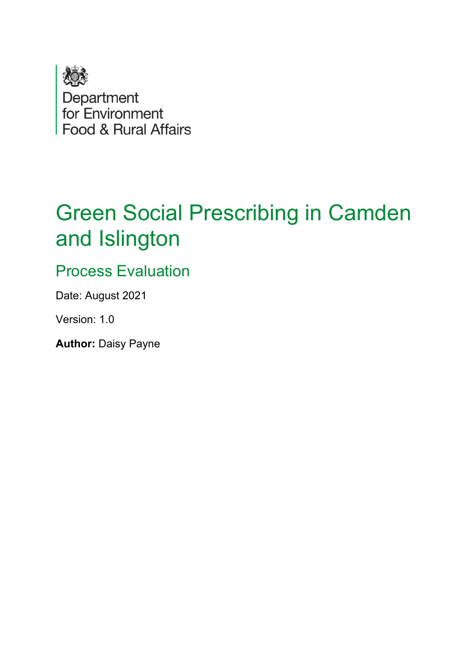

# Green Social Prescribing in Camden and Islington

# Process Evaluation

Date: August 2021

Version: 1.0

**Author:** Daisy Payne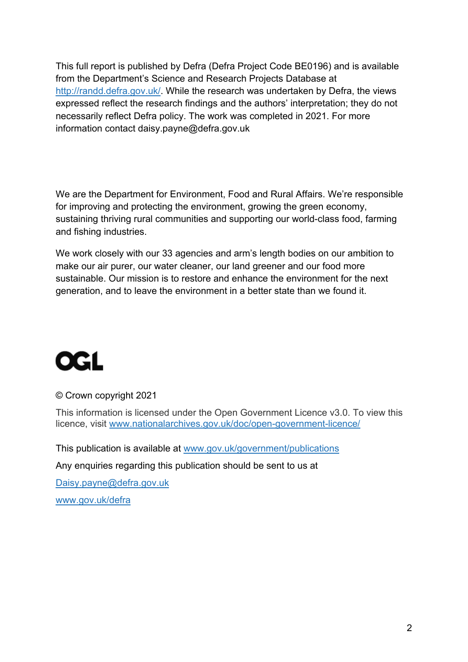This full report is published by Defra (Defra Project Code BE0196) and is available from the Department's Science and Research Projects Database at http://randd.defra.gov.uk/. While the research was undertaken by Defra, the views expressed reflect the research findings and the authors' interpretation; they do not necessarily reflect Defra policy. The work was completed in 2021. For more information contact daisy.payne@defra.gov.uk

We are the Department for Environment, Food and Rural Affairs. We're responsible for improving and protecting the environment, growing the green economy, sustaining thriving rural communities and supporting our world-class food, farming and fishing industries.

We work closely with our 33 agencies and arm's length bodies on our ambition to make our air purer, our water cleaner, our land greener and our food more sustainable. Our mission is to restore and enhance the environment for the next generation, and to leave the environment in a better state than we found it.



#### © Crown copyright 2021

This information is licensed under the Open Government Licence v3.0. To view this licence, visit www.nationalarchives.gov.uk/doc/open-government-licence/

This publication is available at www.gov.uk/government/publications

Any enquiries regarding this publication should be sent to us at

Daisy.payne@defra.gov.uk

www.gov.uk/defra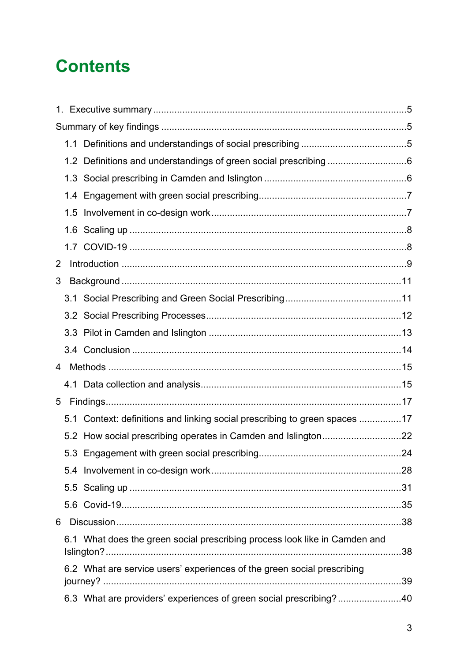# **Contents**

|                | 1.2 Definitions and understandings of green social prescribing 6           |  |
|----------------|----------------------------------------------------------------------------|--|
|                |                                                                            |  |
|                |                                                                            |  |
|                |                                                                            |  |
|                |                                                                            |  |
|                |                                                                            |  |
| $\overline{2}$ |                                                                            |  |
| 3              |                                                                            |  |
|                |                                                                            |  |
|                |                                                                            |  |
|                |                                                                            |  |
|                |                                                                            |  |
| 4              |                                                                            |  |
|                |                                                                            |  |
| 5              |                                                                            |  |
|                | 5.1 Context: definitions and linking social prescribing to green spaces 17 |  |
|                |                                                                            |  |
|                | 5.3 Engagement with green social prescribing.                              |  |
|                |                                                                            |  |
|                |                                                                            |  |
|                |                                                                            |  |
| 6              |                                                                            |  |
|                | 6.1 What does the green social prescribing process look like in Camden and |  |
|                | 6.2 What are service users' experiences of the green social prescribing    |  |
|                |                                                                            |  |
|                | 6.3 What are providers' experiences of green social prescribing?40         |  |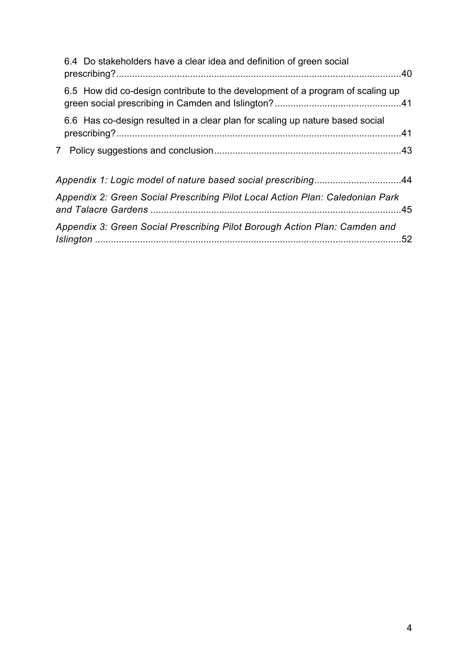|  | 6.4 Do stakeholders have a clear idea and definition of green social           |     |
|--|--------------------------------------------------------------------------------|-----|
|  | 6.5 How did co-design contribute to the development of a program of scaling up |     |
|  | 6.6 Has co-design resulted in a clear plan for scaling up nature based social  |     |
|  |                                                                                |     |
|  | Appendix 1: Logic model of nature based social prescribing44                   |     |
|  | Appendix 2: Green Social Prescribing Pilot Local Action Plan: Caledonian Park  |     |
|  | Appendix 3: Green Social Prescribing Pilot Borough Action Plan: Camden and     | .52 |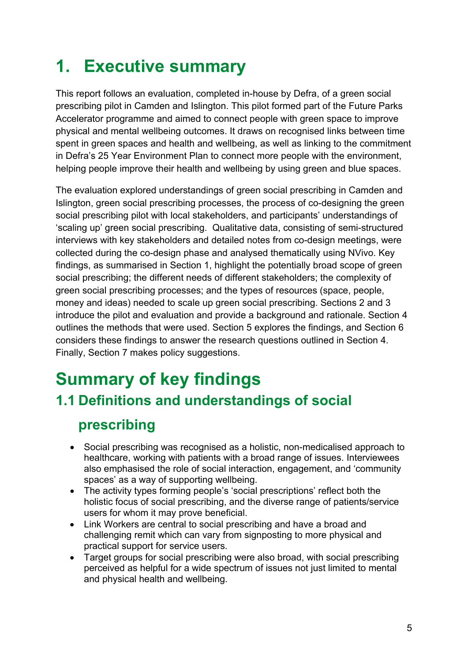# **1. Executive summary**

This report follows an evaluation, completed in-house by Defra, of a green social prescribing pilot in Camden and Islington. This pilot formed part of the Future Parks Accelerator programme and aimed to connect people with green space to improve physical and mental wellbeing outcomes. It draws on recognised links between time spent in green spaces and health and wellbeing, as well as linking to the commitment in Defra's 25 Year Environment Plan to connect more people with the environment, helping people improve their health and wellbeing by using green and blue spaces.

The evaluation explored understandings of green social prescribing in Camden and Islington, green social prescribing processes, the process of co-designing the green social prescribing pilot with local stakeholders, and participants' understandings of 'scaling up' green social prescribing. Qualitative data, consisting of semi-structured interviews with key stakeholders and detailed notes from co-design meetings, were collected during the co-design phase and analysed thematically using NVivo. Key findings, as summarised in Section 1, highlight the potentially broad scope of green social prescribing; the different needs of different stakeholders; the complexity of green social prescribing processes; and the types of resources (space, people, money and ideas) needed to scale up green social prescribing. Sections 2 and 3 introduce the pilot and evaluation and provide a background and rationale. Section 4 outlines the methods that were used. Section 5 explores the findings, and Section 6 considers these findings to answer the research questions outlined in Section 4. Finally, Section 7 makes policy suggestions.

# **Summary of key findings 1.1 Definitions and understandings of social**

## **prescribing**

- Social prescribing was recognised as a holistic, non-medicalised approach to healthcare, working with patients with a broad range of issues. Interviewees also emphasised the role of social interaction, engagement, and 'community spaces' as a way of supporting wellbeing.
- The activity types forming people's 'social prescriptions' reflect both the holistic focus of social prescribing, and the diverse range of patients/service users for whom it may prove beneficial.
- Link Workers are central to social prescribing and have a broad and challenging remit which can vary from signposting to more physical and practical support for service users.
- Target groups for social prescribing were also broad, with social prescribing perceived as helpful for a wide spectrum of issues not just limited to mental and physical health and wellbeing.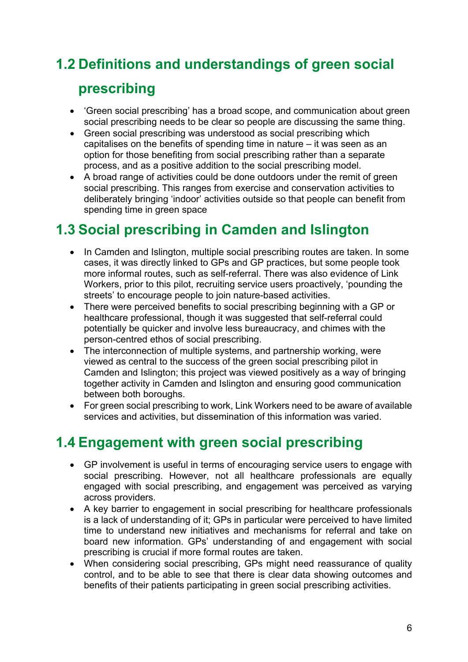# **1.2 Definitions and understandings of green social**

## **prescribing**

- 'Green social prescribing' has a broad scope, and communication about green social prescribing needs to be clear so people are discussing the same thing.
- Green social prescribing was understood as social prescribing which capitalises on the benefits of spending time in nature – it was seen as an option for those benefiting from social prescribing rather than a separate process, and as a positive addition to the social prescribing model.
- A broad range of activities could be done outdoors under the remit of green social prescribing. This ranges from exercise and conservation activities to deliberately bringing 'indoor' activities outside so that people can benefit from spending time in green space

# **1.3 Social prescribing in Camden and Islington**

- In Camden and Islington, multiple social prescribing routes are taken. In some cases, it was directly linked to GPs and GP practices, but some people took more informal routes, such as self-referral. There was also evidence of Link Workers, prior to this pilot, recruiting service users proactively, 'pounding the streets' to encourage people to join nature-based activities.
- There were perceived benefits to social prescribing beginning with a GP or healthcare professional, though it was suggested that self-referral could potentially be quicker and involve less bureaucracy, and chimes with the person-centred ethos of social prescribing.
- The interconnection of multiple systems, and partnership working, were viewed as central to the success of the green social prescribing pilot in Camden and Islington; this project was viewed positively as a way of bringing together activity in Camden and Islington and ensuring good communication between both boroughs.
- For green social prescribing to work, Link Workers need to be aware of available services and activities, but dissemination of this information was varied.

# **1.4 Engagement with green social prescribing**

- GP involvement is useful in terms of encouraging service users to engage with social prescribing. However, not all healthcare professionals are equally engaged with social prescribing, and engagement was perceived as varying across providers.
- A key barrier to engagement in social prescribing for healthcare professionals is a lack of understanding of it; GPs in particular were perceived to have limited time to understand new initiatives and mechanisms for referral and take on board new information. GPs' understanding of and engagement with social prescribing is crucial if more formal routes are taken.
- When considering social prescribing, GPs might need reassurance of quality control, and to be able to see that there is clear data showing outcomes and benefits of their patients participating in green social prescribing activities.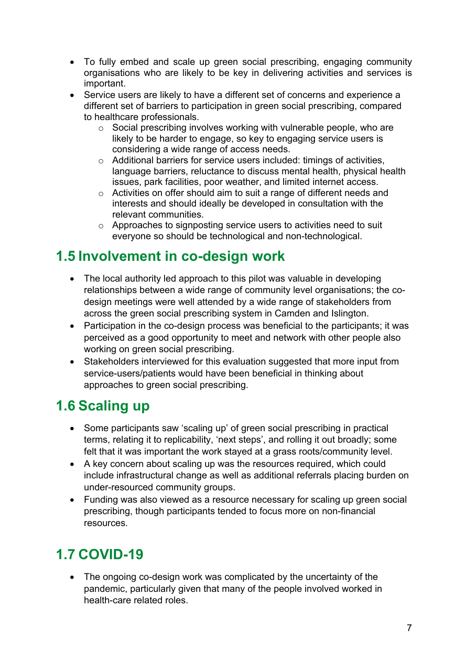- To fully embed and scale up green social prescribing, engaging community organisations who are likely to be key in delivering activities and services is important.
- Service users are likely to have a different set of concerns and experience a different set of barriers to participation in green social prescribing, compared to healthcare professionals.
	- $\circ$  Social prescribing involves working with vulnerable people, who are likely to be harder to engage, so key to engaging service users is considering a wide range of access needs.
	- o Additional barriers for service users included: timings of activities, language barriers, reluctance to discuss mental health, physical health issues, park facilities, poor weather, and limited internet access.
	- o Activities on offer should aim to suit a range of different needs and interests and should ideally be developed in consultation with the relevant communities.
	- o Approaches to signposting service users to activities need to suit everyone so should be technological and non-technological.

# **1.5 Involvement in co-design work**

- The local authority led approach to this pilot was valuable in developing relationships between a wide range of community level organisations; the codesign meetings were well attended by a wide range of stakeholders from across the green social prescribing system in Camden and Islington.
- Participation in the co-design process was beneficial to the participants; it was perceived as a good opportunity to meet and network with other people also working on green social prescribing.
- Stakeholders interviewed for this evaluation suggested that more input from service-users/patients would have been beneficial in thinking about approaches to green social prescribing.

# **1.6 Scaling up**

- Some participants saw 'scaling up' of green social prescribing in practical terms, relating it to replicability, 'next steps', and rolling it out broadly; some felt that it was important the work stayed at a grass roots/community level.
- A key concern about scaling up was the resources required, which could include infrastructural change as well as additional referrals placing burden on under-resourced community groups.
- Funding was also viewed as a resource necessary for scaling up green social prescribing, though participants tended to focus more on non-financial resources.

# **1.7 COVID-19**

• The ongoing co-design work was complicated by the uncertainty of the pandemic, particularly given that many of the people involved worked in health-care related roles.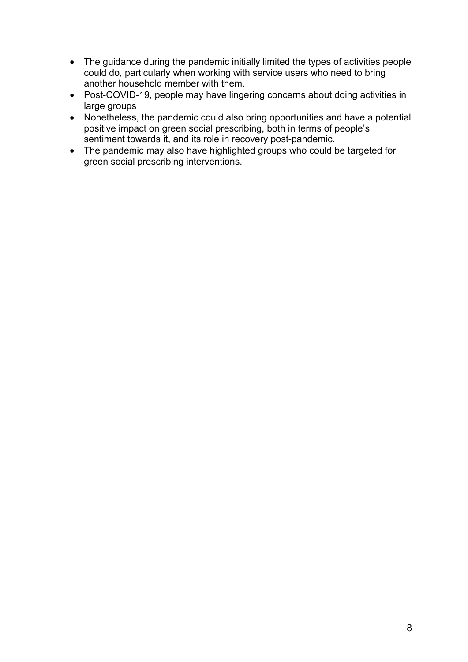- The guidance during the pandemic initially limited the types of activities people could do, particularly when working with service users who need to bring another household member with them.
- Post-COVID-19, people may have lingering concerns about doing activities in large groups
- Nonetheless, the pandemic could also bring opportunities and have a potential positive impact on green social prescribing, both in terms of people's sentiment towards it, and its role in recovery post-pandemic.
- The pandemic may also have highlighted groups who could be targeted for green social prescribing interventions.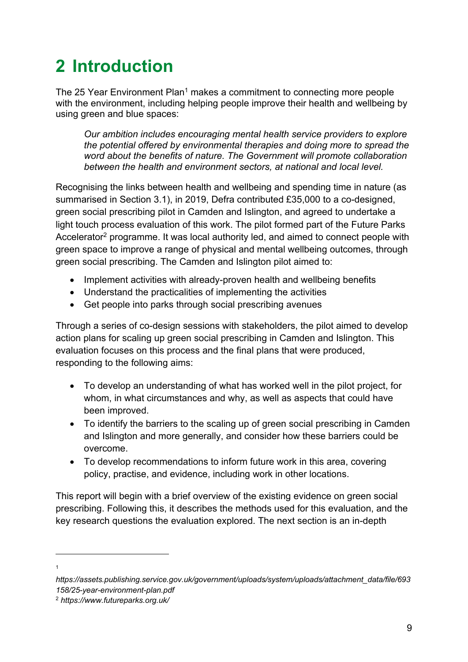# **2 Introduction**

The 25 Year Environment Plan<sup>1</sup> makes a commitment to connecting more people with the environment, including helping people improve their health and wellbeing by using green and blue spaces:

*Our ambition includes encouraging mental health service providers to explore the potential offered by environmental therapies and doing more to spread the word about the benefits of nature. The Government will promote collaboration between the health and environment sectors, at national and local level.* 

Recognising the links between health and wellbeing and spending time in nature (as summarised in Section 3.1), in 2019, Defra contributed £35,000 to a co-designed, green social prescribing pilot in Camden and Islington, and agreed to undertake a light touch process evaluation of this work. The pilot formed part of the Future Parks Accelerator<sup>2</sup> programme. It was local authority led, and aimed to connect people with green space to improve a range of physical and mental wellbeing outcomes, through green social prescribing. The Camden and Islington pilot aimed to:

- Implement activities with already-proven health and wellbeing benefits
- Understand the practicalities of implementing the activities
- Get people into parks through social prescribing avenues

Through a series of co-design sessions with stakeholders, the pilot aimed to develop action plans for scaling up green social prescribing in Camden and Islington. This evaluation focuses on this process and the final plans that were produced, responding to the following aims:

- To develop an understanding of what has worked well in the pilot project, for whom, in what circumstances and why, as well as aspects that could have been improved.
- To identify the barriers to the scaling up of green social prescribing in Camden and Islington and more generally, and consider how these barriers could be overcome.
- To develop recommendations to inform future work in this area, covering policy, practise, and evidence, including work in other locations.

This report will begin with a brief overview of the existing evidence on green social prescribing. Following this, it describes the methods used for this evaluation, and the key research questions the evaluation explored. The next section is an in-depth

<sup>1</sup>

*https://assets.publishing.service.gov.uk/government/uploads/system/uploads/attachment\_data/file/693 158/25-year-environment-plan.pdf*

<sup>2</sup> *https://www.futureparks.org.uk/*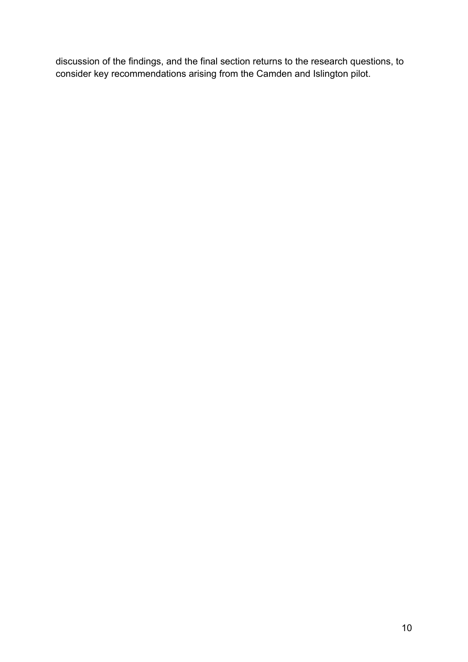discussion of the findings, and the final section returns to the research questions, to consider key recommendations arising from the Camden and Islington pilot.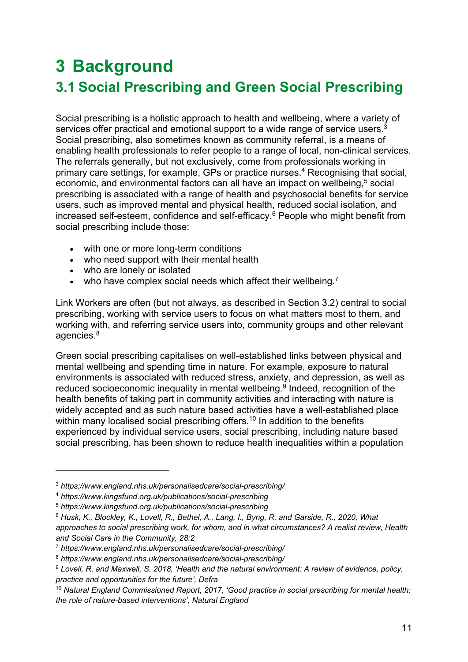# **3 Background 3.1 Social Prescribing and Green Social Prescribing**

Social prescribing is a holistic approach to health and wellbeing, where a variety of services offer practical and emotional support to a wide range of service users.<sup>3</sup> Social prescribing, also sometimes known as community referral, is a means of enabling health professionals to refer people to a range of local, non-clinical services. The referrals generally, but not exclusively, come from professionals working in primary care settings, for example, GPs or practice nurses.<sup>4</sup> Recognising that social, economic, and environmental factors can all have an impact on wellbeing,<sup>5</sup> social prescribing is associated with a range of health and psychosocial benefits for service users, such as improved mental and physical health, reduced social isolation, and increased self-esteem, confidence and self-efficacy.6 People who might benefit from social prescribing include those:

- with one or more long-term conditions
- who need support with their mental health
- who are lonely or isolated
- $\bullet$  who have complex social needs which affect their wellbeing.<sup>7</sup>

Link Workers are often (but not always, as described in Section 3.2) central to social prescribing, working with service users to focus on what matters most to them, and working with, and referring service users into, community groups and other relevant agencies.8

Green social prescribing capitalises on well-established links between physical and mental wellbeing and spending time in nature. For example, exposure to natural environments is associated with reduced stress, anxiety, and depression, as well as reduced socioeconomic inequality in mental wellbeing.<sup>9</sup> Indeed, recognition of the health benefits of taking part in community activities and interacting with nature is widely accepted and as such nature based activities have a well-established place within many localised social prescribing offers.<sup>10</sup> In addition to the benefits experienced by individual service users, social prescribing, including nature based social prescribing, has been shown to reduce health inequalities within a population

<sup>3</sup> *https://www.england.nhs.uk/personalisedcare/social-prescribing/*

<sup>4</sup> *https://www.kingsfund.org.uk/publications/social-prescribing*

<sup>5</sup> *https://www.kingsfund.org.uk/publications/social-prescribing*

<sup>6</sup> *Husk, K., Blockley, K., Lovell, R., Bethel, A., Lang, I., Byng, R. and Garside, R., 2020, What approaches to social prescribing work, for whom, and in what circumstances? A realist review, Health and Social Care in the Community, 28:2*

<sup>7</sup> *https://www.england.nhs.uk/personalisedcare/social-prescribing/*

<sup>8</sup> *https://www.england.nhs.uk/personalisedcare/social-prescribing/* 

<sup>9</sup> *Lovell, R. and Maxwell, S. 2018, 'Health and the natural environment: A review of evidence, policy, practice and opportunities for the future', Defra*

<sup>10</sup> *Natural England Commissioned Report, 2017, 'Good practice in social prescribing for mental health: the role of nature-based interventions', Natural England*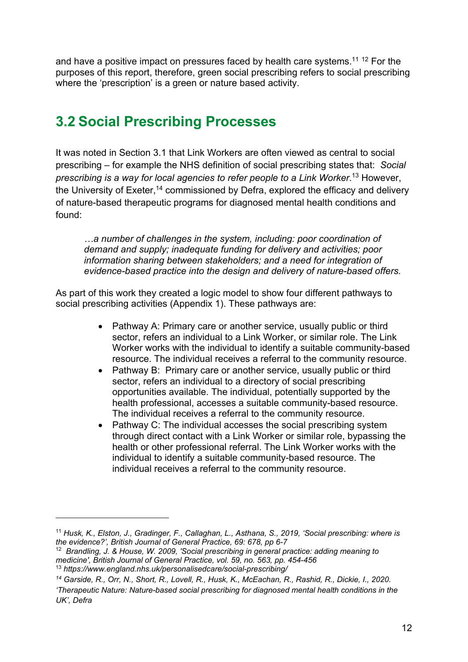and have a positive impact on pressures faced by health care systems.<sup>11 12</sup> For the purposes of this report, therefore, green social prescribing refers to social prescribing where the 'prescription' is a green or nature based activity.

# **3.2 Social Prescribing Processes**

It was noted in Section 3.1 that Link Workers are often viewed as central to social prescribing – for example the NHS definition of social prescribing states that: *Social prescribing is a way for local agencies to refer people to a Link Worker*. 13 However, the University of Exeter,<sup>14</sup> commissioned by Defra, explored the efficacy and delivery of nature-based therapeutic programs for diagnosed mental health conditions and found:

*…a number of challenges in the system, including: poor coordination of demand and supply; inadequate funding for delivery and activities; poor information sharing between stakeholders; and a need for integration of evidence-based practice into the design and delivery of nature-based offers.* 

As part of this work they created a logic model to show four different pathways to social prescribing activities (Appendix 1). These pathways are:

- Pathway A: Primary care or another service, usually public or third sector, refers an individual to a Link Worker, or similar role. The Link Worker works with the individual to identify a suitable community-based resource. The individual receives a referral to the community resource.
- Pathway B: Primary care or another service, usually public or third sector, refers an individual to a directory of social prescribing opportunities available. The individual, potentially supported by the health professional, accesses a suitable community-based resource. The individual receives a referral to the community resource.
- Pathway C: The individual accesses the social prescribing system through direct contact with a Link Worker or similar role, bypassing the health or other professional referral. The Link Worker works with the individual to identify a suitable community-based resource. The individual receives a referral to the community resource.

<sup>11</sup> *Husk, K., Elston, J., Gradinger, F., Callaghan, L., Asthana, S., 2019, 'Social prescribing: where is the evidence?', British Journal of General Practice, 69: 678, pp 6-7*

<sup>12</sup> *Brandling, J. & House, W. 2009, 'Social prescribing in general practice: adding meaning to medicine', British Journal of General Practice, vol. 59, no. 563, pp. 454-456* <sup>13</sup> *https://www.england.nhs.uk/personalisedcare/social-prescribing/* 

*<sup>14</sup> Garside, R., Orr, N., Short, R., Lovell, R., Husk, K., McEachan, R., Rashid, R., Dickie, I., 2020. 'Therapeutic Nature: Nature-based social prescribing for diagnosed mental health conditions in the UK', Defra*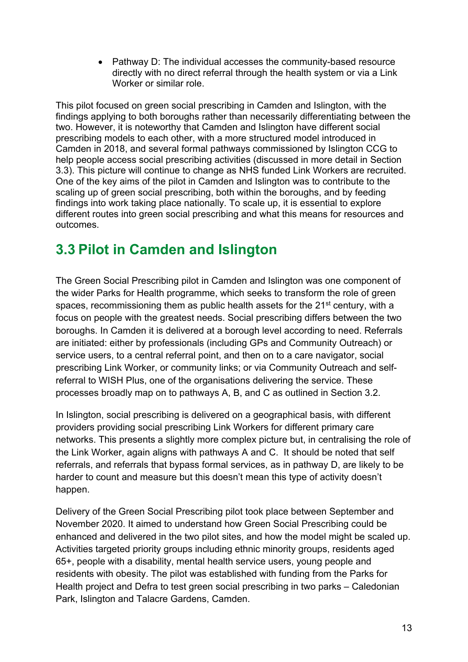• Pathway D: The individual accesses the community-based resource directly with no direct referral through the health system or via a Link Worker or similar role.

This pilot focused on green social prescribing in Camden and Islington, with the findings applying to both boroughs rather than necessarily differentiating between the two. However, it is noteworthy that Camden and Islington have different social prescribing models to each other, with a more structured model introduced in Camden in 2018, and several formal pathways commissioned by Islington CCG to help people access social prescribing activities (discussed in more detail in Section 3.3). This picture will continue to change as NHS funded Link Workers are recruited. One of the key aims of the pilot in Camden and Islington was to contribute to the scaling up of green social prescribing, both within the boroughs, and by feeding findings into work taking place nationally. To scale up, it is essential to explore different routes into green social prescribing and what this means for resources and outcomes.

# **3.3 Pilot in Camden and Islington**

The Green Social Prescribing pilot in Camden and Islington was one component of the wider Parks for Health programme, which seeks to transform the role of green spaces, recommissioning them as public health assets for the 21<sup>st</sup> century, with a focus on people with the greatest needs. Social prescribing differs between the two boroughs. In Camden it is delivered at a borough level according to need. Referrals are initiated: either by professionals (including GPs and Community Outreach) or service users, to a central referral point, and then on to a care navigator, social prescribing Link Worker, or community links; or via Community Outreach and selfreferral to WISH Plus, one of the organisations delivering the service. These processes broadly map on to pathways A, B, and C as outlined in Section 3.2.

In Islington, social prescribing is delivered on a geographical basis, with different providers providing social prescribing Link Workers for different primary care networks. This presents a slightly more complex picture but, in centralising the role of the Link Worker, again aligns with pathways A and C. It should be noted that self referrals, and referrals that bypass formal services, as in pathway D, are likely to be harder to count and measure but this doesn't mean this type of activity doesn't happen.

Delivery of the Green Social Prescribing pilot took place between September and November 2020. It aimed to understand how Green Social Prescribing could be enhanced and delivered in the two pilot sites, and how the model might be scaled up. Activities targeted priority groups including ethnic minority groups, residents aged 65+, people with a disability, mental health service users, young people and residents with obesity. The pilot was established with funding from the Parks for Health project and Defra to test green social prescribing in two parks – Caledonian Park, Islington and Talacre Gardens, Camden.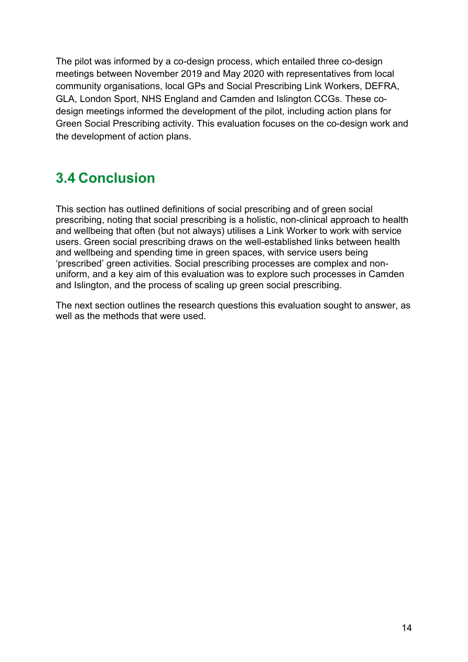The pilot was informed by a co-design process, which entailed three co-design meetings between November 2019 and May 2020 with representatives from local community organisations, local GPs and Social Prescribing Link Workers, DEFRA, GLA, London Sport, NHS England and Camden and Islington CCGs. These codesign meetings informed the development of the pilot, including action plans for Green Social Prescribing activity. This evaluation focuses on the co-design work and the development of action plans.

# **3.4 Conclusion**

This section has outlined definitions of social prescribing and of green social prescribing, noting that social prescribing is a holistic, non-clinical approach to health and wellbeing that often (but not always) utilises a Link Worker to work with service users. Green social prescribing draws on the well-established links between health and wellbeing and spending time in green spaces, with service users being 'prescribed' green activities. Social prescribing processes are complex and nonuniform, and a key aim of this evaluation was to explore such processes in Camden and Islington, and the process of scaling up green social prescribing.

The next section outlines the research questions this evaluation sought to answer, as well as the methods that were used.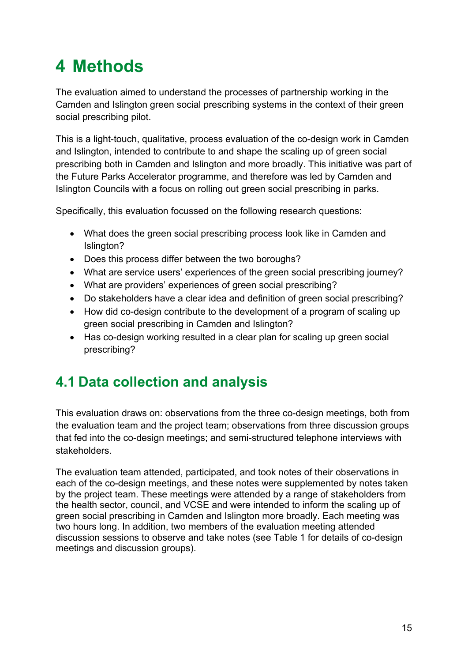# **4 Methods**

The evaluation aimed to understand the processes of partnership working in the Camden and Islington green social prescribing systems in the context of their green social prescribing pilot.

This is a light-touch, qualitative, process evaluation of the co-design work in Camden and Islington, intended to contribute to and shape the scaling up of green social prescribing both in Camden and Islington and more broadly. This initiative was part of the Future Parks Accelerator programme, and therefore was led by Camden and Islington Councils with a focus on rolling out green social prescribing in parks.

Specifically, this evaluation focussed on the following research questions:

- What does the green social prescribing process look like in Camden and Islington?
- Does this process differ between the two boroughs?
- What are service users' experiences of the green social prescribing journey?
- What are providers' experiences of green social prescribing?
- Do stakeholders have a clear idea and definition of green social prescribing?
- How did co-design contribute to the development of a program of scaling up green social prescribing in Camden and Islington?
- Has co-design working resulted in a clear plan for scaling up green social prescribing?

# **4.1 Data collection and analysis**

This evaluation draws on: observations from the three co-design meetings, both from the evaluation team and the project team; observations from three discussion groups that fed into the co-design meetings; and semi-structured telephone interviews with stakeholders.

The evaluation team attended, participated, and took notes of their observations in each of the co-design meetings, and these notes were supplemented by notes taken by the project team. These meetings were attended by a range of stakeholders from the health sector, council, and VCSE and were intended to inform the scaling up of green social prescribing in Camden and Islington more broadly. Each meeting was two hours long. In addition, two members of the evaluation meeting attended discussion sessions to observe and take notes (see Table 1 for details of co-design meetings and discussion groups).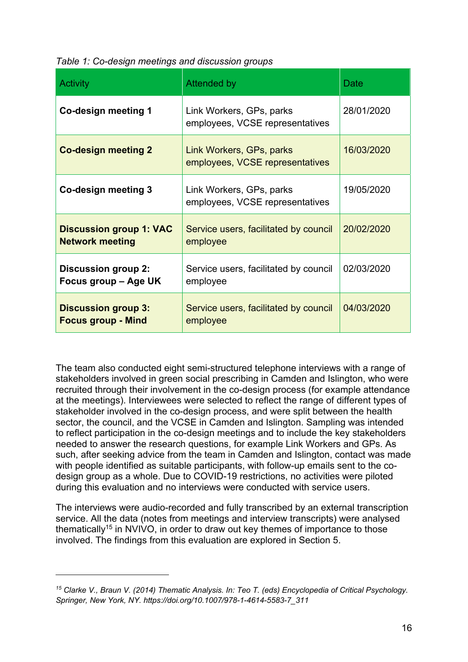*Table 1: Co-design meetings and discussion groups* 

| <b>Activity</b>                                          | <b>Attended by</b>                                          | Date       |
|----------------------------------------------------------|-------------------------------------------------------------|------------|
| Co-design meeting 1                                      | Link Workers, GPs, parks<br>employees, VCSE representatives | 28/01/2020 |
| <b>Co-design meeting 2</b>                               | Link Workers, GPs, parks<br>employees, VCSE representatives | 16/03/2020 |
| Co-design meeting 3                                      | Link Workers, GPs, parks<br>employees, VCSE representatives | 19/05/2020 |
| <b>Discussion group 1: VAC</b><br><b>Network meeting</b> | Service users, facilitated by council<br>employee           | 20/02/2020 |
| <b>Discussion group 2:</b><br>Focus group - Age UK       | Service users, facilitated by council<br>employee           | 02/03/2020 |
| <b>Discussion group 3:</b><br><b>Focus group - Mind</b>  | Service users, facilitated by council<br>employee           | 04/03/2020 |

The team also conducted eight semi-structured telephone interviews with a range of stakeholders involved in green social prescribing in Camden and Islington, who were recruited through their involvement in the co-design process (for example attendance at the meetings). Interviewees were selected to reflect the range of different types of stakeholder involved in the co-design process, and were split between the health sector, the council, and the VCSE in Camden and Islington. Sampling was intended to reflect participation in the co-design meetings and to include the key stakeholders needed to answer the research questions, for example Link Workers and GPs. As such, after seeking advice from the team in Camden and Islington, contact was made with people identified as suitable participants, with follow-up emails sent to the codesign group as a whole. Due to COVID-19 restrictions, no activities were piloted during this evaluation and no interviews were conducted with service users.

The interviews were audio-recorded and fully transcribed by an external transcription service. All the data (notes from meetings and interview transcripts) were analysed thematically<sup>15</sup> in NVIVO, in order to draw out key themes of importance to those involved. The findings from this evaluation are explored in Section 5.

*<sup>15</sup> Clarke V., Braun V. (2014) Thematic Analysis. In: Teo T. (eds) Encyclopedia of Critical Psychology. Springer, New York, NY. https://doi.org/10.1007/978-1-4614-5583-7\_311*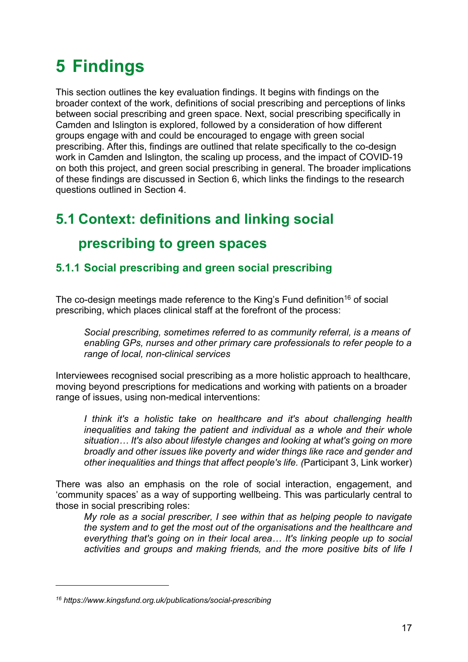# **5 Findings**

This section outlines the key evaluation findings. It begins with findings on the broader context of the work, definitions of social prescribing and perceptions of links between social prescribing and green space. Next, social prescribing specifically in Camden and Islington is explored, followed by a consideration of how different groups engage with and could be encouraged to engage with green social prescribing. After this, findings are outlined that relate specifically to the co-design work in Camden and Islington, the scaling up process, and the impact of COVID-19 on both this project, and green social prescribing in general. The broader implications of these findings are discussed in Section 6, which links the findings to the research questions outlined in Section 4.

# **5.1 Context: definitions and linking social**

## **prescribing to green spaces**

## **5.1.1 Social prescribing and green social prescribing**

The co-design meetings made reference to the King's Fund definition<sup>16</sup> of social prescribing, which places clinical staff at the forefront of the process:

*Social prescribing, sometimes referred to as community referral, is a means of enabling GPs, nurses and other primary care professionals to refer people to a range of local, non-clinical services* 

Interviewees recognised social prescribing as a more holistic approach to healthcare, moving beyond prescriptions for medications and working with patients on a broader range of issues, using non-medical interventions:

*I think it's a holistic take on healthcare and it's about challenging health inequalities and taking the patient and individual as a whole and their whole situation… It's also about lifestyle changes and looking at what's going on more broadly and other issues like poverty and wider things like race and gender and other inequalities and things that affect people's life. (*Participant 3, Link worker)

There was also an emphasis on the role of social interaction, engagement, and 'community spaces' as a way of supporting wellbeing. This was particularly central to those in social prescribing roles:

*My role as a social prescriber, I see within that as helping people to navigate the system and to get the most out of the organisations and the healthcare and everything that's going on in their local area… It's linking people up to social activities and groups and making friends, and the more positive bits of life I* 

*<sup>16</sup> https://www.kingsfund.org.uk/publications/social-prescribing*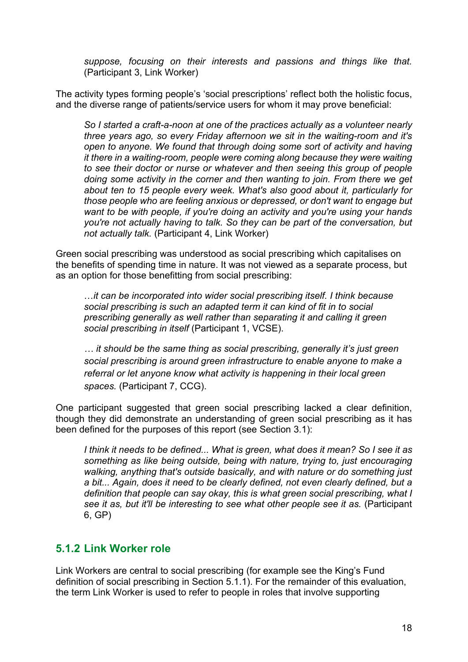*suppose, focusing on their interests and passions and things like that.*  (Participant 3, Link Worker)

The activity types forming people's 'social prescriptions' reflect both the holistic focus, and the diverse range of patients/service users for whom it may prove beneficial:

*So I started a craft-a-noon at one of the practices actually as a volunteer nearly three years ago, so every Friday afternoon we sit in the waiting-room and it's open to anyone. We found that through doing some sort of activity and having it there in a waiting-room, people were coming along because they were waiting to see their doctor or nurse or whatever and then seeing this group of people doing some activity in the corner and then wanting to join. From there we get about ten to 15 people every week. What's also good about it, particularly for those people who are feeling anxious or depressed, or don't want to engage but want to be with people, if you're doing an activity and you're using your hands you're not actually having to talk. So they can be part of the conversation, but not actually talk.* (Participant 4, Link Worker)

Green social prescribing was understood as social prescribing which capitalises on the benefits of spending time in nature. It was not viewed as a separate process, but as an option for those benefitting from social prescribing:

…*it can be incorporated into wider social prescribing itself. I think because social prescribing is such an adapted term it can kind of fit in to social prescribing generally as well rather than separating it and calling it green social prescribing in itself* (Participant 1, VCSE).

*… it should be the same thing as social prescribing, generally it's just green social prescribing is around green infrastructure to enable anyone to make a referral or let anyone know what activity is happening in their local green spaces.* (Participant 7, CCG).

One participant suggested that green social prescribing lacked a clear definition, though they did demonstrate an understanding of green social prescribing as it has been defined for the purposes of this report (see Section 3.1):

*I think it needs to be defined... What is green, what does it mean? So I see it as something as like being outside, being with nature, trying to, just encouraging walking, anything that's outside basically, and with nature or do something just a bit... Again, does it need to be clearly defined, not even clearly defined, but a definition that people can say okay, this is what green social prescribing, what I see it as, but it'll be interesting to see what other people see it as.* (Participant 6, GP)

### **5.1.2 Link Worker role**

Link Workers are central to social prescribing (for example see the King's Fund definition of social prescribing in Section 5.1.1). For the remainder of this evaluation, the term Link Worker is used to refer to people in roles that involve supporting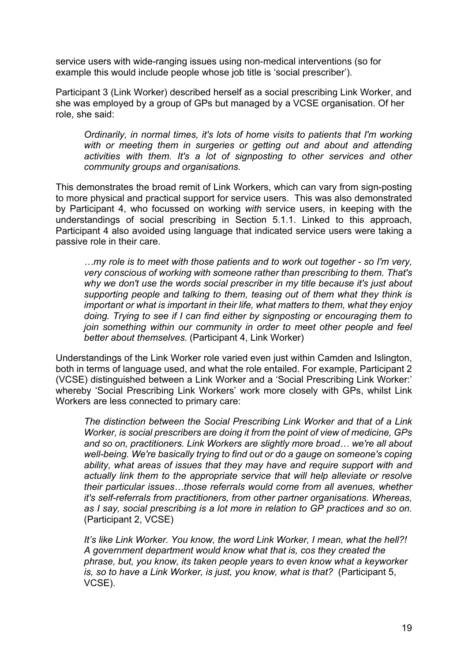service users with wide-ranging issues using non-medical interventions (so for example this would include people whose job title is 'social prescriber').

Participant 3 (Link Worker) described herself as a social prescribing Link Worker, and she was employed by a group of GPs but managed by a VCSE organisation. Of her role, she said:

*Ordinarily, in normal times, it's lots of home visits to patients that I'm working with or meeting them in surgeries or getting out and about and attending activities with them. It's a lot of signposting to other services and other community groups and organisations.* 

This demonstrates the broad remit of Link Workers, which can vary from sign-posting to more physical and practical support for service users. This was also demonstrated by Participant 4, who focussed on working *with* service users, in keeping with the understandings of social prescribing in Section 5.1.1. Linked to this approach, Participant 4 also avoided using language that indicated service users were taking a passive role in their care.

*…my role is to meet with those patients and to work out together - so I'm very, very conscious of working with someone rather than prescribing to them. That's why we don't use the words social prescriber in my title because it's just about supporting people and talking to them, teasing out of them what they think is important or what is important in their life, what matters to them, what they enjoy doing. Trying to see if I can find either by signposting or encouraging them to*  join something within our community in order to meet other people and feel *better about themselves.* (Participant 4, Link Worker)

Understandings of the Link Worker role varied even just within Camden and Islington, both in terms of language used, and what the role entailed. For example, Participant 2 (VCSE) distinguished between a Link Worker and a 'Social Prescribing Link Worker:' whereby 'Social Prescribing Link Workers' work more closely with GPs, whilst Link Workers are less connected to primary care:

*The distinction between the Social Prescribing Link Worker and that of a Link Worker, is social prescribers are doing it from the point of view of medicine, GPs and so on, practitioners. Link Workers are slightly more broad… we're all about well-being. We're basically trying to find out or do a gauge on someone's coping ability, what areas of issues that they may have and require support with and actually link them to the appropriate service that will help alleviate or resolve their particular issues…those referrals would come from all avenues, whether it's self-referrals from practitioners, from other partner organisations. Whereas, as I say, social prescribing is a lot more in relation to GP practices and so on.*  (Participant 2, VCSE)

*It's like Link Worker. You know, the word Link Worker, I mean, what the hell?! A government department would know what that is, cos they created the phrase, but, you know, its taken people years to even know what a keyworker is, so to have a Link Worker, is just, you know, what is that?* (Participant 5, VCSE).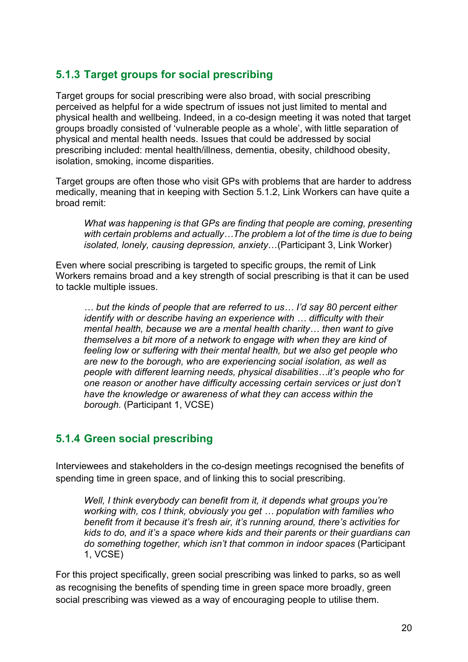## **5.1.3 Target groups for social prescribing**

Target groups for social prescribing were also broad, with social prescribing perceived as helpful for a wide spectrum of issues not just limited to mental and physical health and wellbeing. Indeed, in a co-design meeting it was noted that target groups broadly consisted of 'vulnerable people as a whole', with little separation of physical and mental health needs. Issues that could be addressed by social prescribing included: mental health/illness, dementia, obesity, childhood obesity, isolation, smoking, income disparities.

Target groups are often those who visit GPs with problems that are harder to address medically, meaning that in keeping with Section 5.1.2, Link Workers can have quite a broad remit:

*What was happening is that GPs are finding that people are coming, presenting with certain problems and actually…The problem a lot of the time is due to being isolated, lonely, causing depression, anxiety*…(Participant 3, Link Worker)

Even where social prescribing is targeted to specific groups, the remit of Link Workers remains broad and a key strength of social prescribing is that it can be used to tackle multiple issues.

*… but the kinds of people that are referred to us… I'd say 80 percent either identify with or describe having an experience with … difficulty with their mental health, because we are a mental health charity… then want to give themselves a bit more of a network to engage with when they are kind of feeling low or suffering with their mental health, but we also get people who are new to the borough, who are experiencing social isolation, as well as people with different learning needs, physical disabilities…it's people who for one reason or another have difficulty accessing certain services or just don't have the knowledge or awareness of what they can access within the borough.* (Participant 1, VCSE)

## **5.1.4 Green social prescribing**

Interviewees and stakeholders in the co-design meetings recognised the benefits of spending time in green space, and of linking this to social prescribing.

*Well, I think everybody can benefit from it, it depends what groups you're working with, cos I think, obviously you get … population with families who benefit from it because it's fresh air, it's running around, there's activities for kids to do, and it's a space where kids and their parents or their guardians can do something together, which isn't that common in indoor spaces* (Participant 1, VCSE)

For this project specifically, green social prescribing was linked to parks, so as well as recognising the benefits of spending time in green space more broadly, green social prescribing was viewed as a way of encouraging people to utilise them.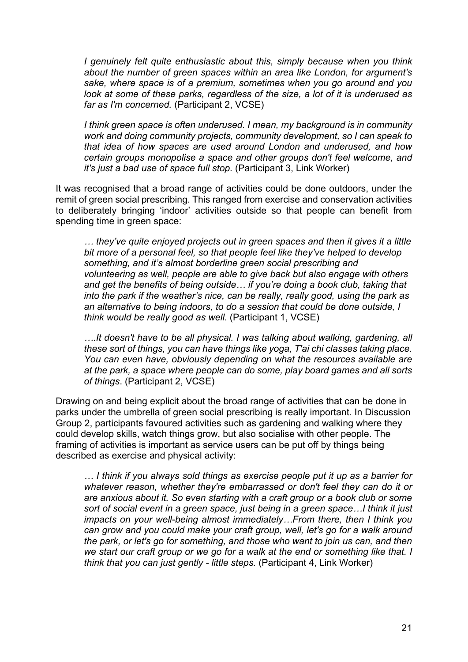*I genuinely felt quite enthusiastic about this, simply because when you think about the number of green spaces within an area like London, for argument's sake, where space is of a premium, sometimes when you go around and you look at some of these parks, regardless of the size, a lot of it is underused as far as I'm concerned.* (Participant 2, VCSE)

*I think green space is often underused. I mean, my background is in community work and doing community projects, community development, so I can speak to that idea of how spaces are used around London and underused, and how certain groups monopolise a space and other groups don't feel welcome, and it's just a bad use of space full stop.* (Participant 3, Link Worker)

It was recognised that a broad range of activities could be done outdoors, under the remit of green social prescribing. This ranged from exercise and conservation activities to deliberately bringing 'indoor' activities outside so that people can benefit from spending time in green space:

*… they've quite enjoyed projects out in green spaces and then it gives it a little bit more of a personal feel, so that people feel like they've helped to develop something, and it's almost borderline green social prescribing and volunteering as well, people are able to give back but also engage with others and get the benefits of being outside… if you're doing a book club, taking that into the park if the weather's nice, can be really, really good, using the park as an alternative to being indoors, to do a session that could be done outside, I think would be really good as well.* (Participant 1, VCSE)

*….It doesn't have to be all physical. I was talking about walking, gardening, all these sort of things, you can have things like yoga, T'ai chi classes taking place. You can even have, obviously depending on what the resources available are at the park, a space where people can do some, play board games and all sorts of things*. (Participant 2, VCSE)

Drawing on and being explicit about the broad range of activities that can be done in parks under the umbrella of green social prescribing is really important. In Discussion Group 2, participants favoured activities such as gardening and walking where they could develop skills, watch things grow, but also socialise with other people. The framing of activities is important as service users can be put off by things being described as exercise and physical activity:

*… I think if you always sold things as exercise people put it up as a barrier for whatever reason, whether they're embarrassed or don't feel they can do it or are anxious about it. So even starting with a craft group or a book club or some sort of social event in a green space, just being in a green space…I think it just impacts on your well-being almost immediately…From there, then I think you can grow and you could make your craft group, well, let's go for a walk around the park, or let's go for something, and those who want to join us can, and then we start our craft group or we go for a walk at the end or something like that. I think that you can just gently - little steps.* (Participant 4, Link Worker)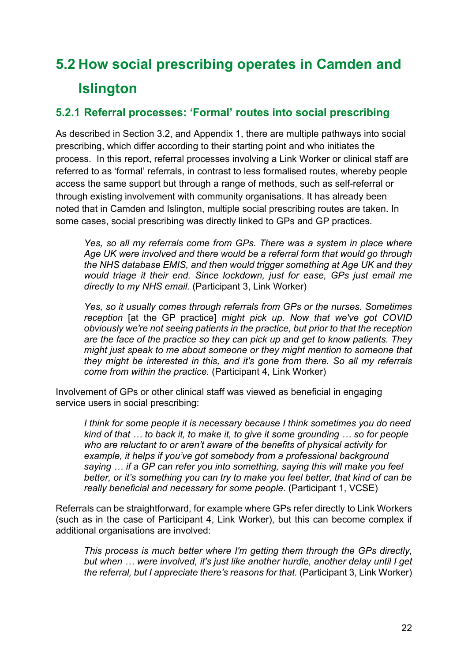# **5.2 How social prescribing operates in Camden and Islington**

## **5.2.1 Referral processes: 'Formal' routes into social prescribing**

As described in Section 3.2, and Appendix 1, there are multiple pathways into social prescribing, which differ according to their starting point and who initiates the process. In this report, referral processes involving a Link Worker or clinical staff are referred to as 'formal' referrals, in contrast to less formalised routes, whereby people access the same support but through a range of methods, such as self-referral or through existing involvement with community organisations. It has already been noted that in Camden and Islington, multiple social prescribing routes are taken. In some cases, social prescribing was directly linked to GPs and GP practices.

*Yes, so all my referrals come from GPs. There was a system in place where Age UK were involved and there would be a referral form that would go through the NHS database EMIS, and then would trigger something at Age UK and they would triage it their end. Since lockdown, just for ease, GPs just email me directly to my NHS email.* (Participant 3, Link Worker)

*Yes, so it usually comes through referrals from GPs or the nurses. Sometimes reception* [at the GP practice] *might pick up. Now that we've got COVID obviously we're not seeing patients in the practice, but prior to that the reception are the face of the practice so they can pick up and get to know patients. They might just speak to me about someone or they might mention to someone that they might be interested in this, and it's gone from there. So all my referrals come from within the practice.* (Participant 4, Link Worker)

Involvement of GPs or other clinical staff was viewed as beneficial in engaging service users in social prescribing:

*I think for some people it is necessary because I think sometimes you do need kind of that … to back it, to make it, to give it some grounding … so for people who are reluctant to or aren't aware of the benefits of physical activity for example, it helps if you've got somebody from a professional background saying … if a GP can refer you into something, saying this will make you feel better, or it's something you can try to make you feel better, that kind of can be really beneficial and necessary for some people.* (Participant 1, VCSE)

Referrals can be straightforward, for example where GPs refer directly to Link Workers (such as in the case of Participant 4, Link Worker), but this can become complex if additional organisations are involved:

*This process is much better where I'm getting them through the GPs directly, but when … were involved, it's just like another hurdle, another delay until I get the referral, but I appreciate there's reasons for that.* (Participant 3, Link Worker)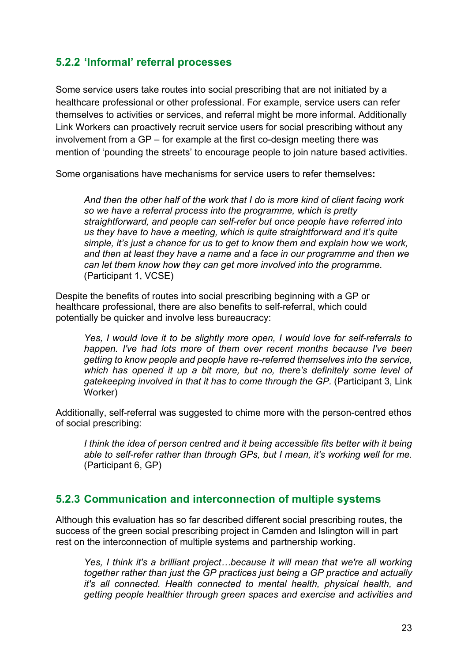## **5.2.2 'Informal' referral processes**

Some service users take routes into social prescribing that are not initiated by a healthcare professional or other professional. For example, service users can refer themselves to activities or services, and referral might be more informal. Additionally Link Workers can proactively recruit service users for social prescribing without any involvement from a GP – for example at the first co-design meeting there was mention of 'pounding the streets' to encourage people to join nature based activities.

Some organisations have mechanisms for service users to refer themselves**:** 

*And then the other half of the work that I do is more kind of client facing work so we have a referral process into the programme, which is pretty straightforward, and people can self-refer but once people have referred into us they have to have a meeting, which is quite straightforward and it's quite simple, it's just a chance for us to get to know them and explain how we work, and then at least they have a name and a face in our programme and then we can let them know how they can get more involved into the programme.* (Participant 1, VCSE)

Despite the benefits of routes into social prescribing beginning with a GP or healthcare professional, there are also benefits to self-referral, which could potentially be quicker and involve less bureaucracy:

*Yes, I would love it to be slightly more open, I would love for self-referrals to happen. I've had lots more of them over recent months because I've been getting to know people and people have re-referred themselves into the service,*  which has opened it up a bit more, but no, there's definitely some level of *gatekeeping involved in that it has to come through the GP.* (Participant 3, Link Worker)

Additionally, self-referral was suggested to chime more with the person-centred ethos of social prescribing:

I think the idea of person centred and it being accessible fits better with it being *able to self-refer rather than through GPs, but I mean, it's working well for me.* (Participant 6, GP)

### **5.2.3 Communication and interconnection of multiple systems**

Although this evaluation has so far described different social prescribing routes, the success of the green social prescribing project in Camden and Islington will in part rest on the interconnection of multiple systems and partnership working.

*Yes, I think it's a brilliant project…because it will mean that we're all working together rather than just the GP practices just being a GP practice and actually it's all connected. Health connected to mental health, physical health, and getting people healthier through green spaces and exercise and activities and*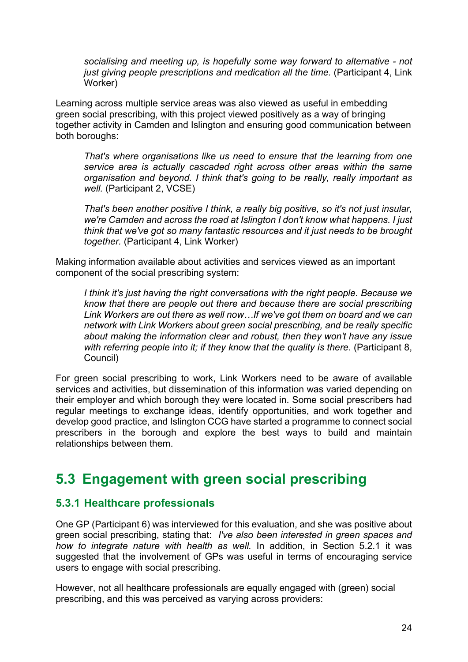*socialising and meeting up, is hopefully some way forward to alternative - not just giving people prescriptions and medication all the time.* (Participant 4, Link Worker)

Learning across multiple service areas was also viewed as useful in embedding green social prescribing, with this project viewed positively as a way of bringing together activity in Camden and Islington and ensuring good communication between both boroughs:

*That's where organisations like us need to ensure that the learning from one service area is actually cascaded right across other areas within the same organisation and beyond. I think that's going to be really, really important as well.* (Participant 2, VCSE)

*That's been another positive I think, a really big positive, so it's not just insular, we're Camden and across the road at Islington I don't know what happens. I just think that we've got so many fantastic resources and it just needs to be brought together.* (Participant 4, Link Worker)

Making information available about activities and services viewed as an important component of the social prescribing system:

*I think it's just having the right conversations with the right people. Because we know that there are people out there and because there are social prescribing Link Workers are out there as well now…If we've got them on board and we can network with Link Workers about green social prescribing, and be really specific about making the information clear and robust, then they won't have any issue with referring people into it; if they know that the quality is there.* (Participant 8, Council)

For green social prescribing to work, Link Workers need to be aware of available services and activities, but dissemination of this information was varied depending on their employer and which borough they were located in. Some social prescribers had regular meetings to exchange ideas, identify opportunities, and work together and develop good practice, and Islington CCG have started a programme to connect social prescribers in the borough and explore the best ways to build and maintain relationships between them.

## **5.3 Engagement with green social prescribing**

## **5.3.1 Healthcare professionals**

One GP (Participant 6) was interviewed for this evaluation, and she was positive about green social prescribing, stating that: *I've also been interested in green spaces and how to integrate nature with health as well.* In addition, in Section 5.2.1 it was suggested that the involvement of GPs was useful in terms of encouraging service users to engage with social prescribing.

However, not all healthcare professionals are equally engaged with (green) social prescribing, and this was perceived as varying across providers: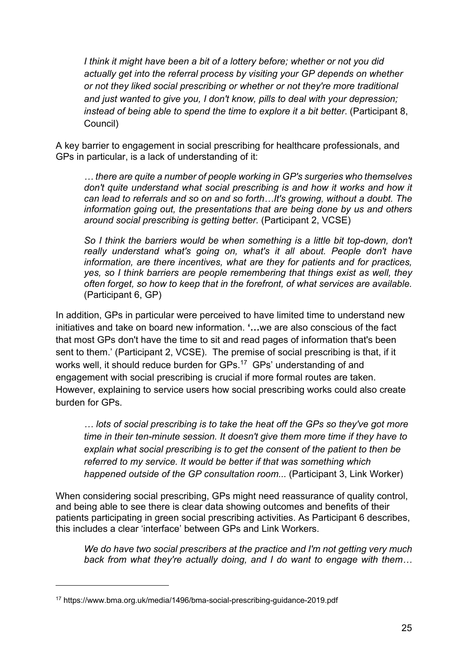*I think it might have been a bit of a lottery before; whether or not you did actually get into the referral process by visiting your GP depends on whether or not they liked social prescribing or whether or not they're more traditional and just wanted to give you, I don't know, pills to deal with your depression; instead of being able to spend the time to explore it a bit better*. (Participant 8, Council)

A key barrier to engagement in social prescribing for healthcare professionals, and GPs in particular, is a lack of understanding of it:

*… there are quite a number of people working in GP's surgeries who themselves*  don't quite understand what social prescribing is and how it works and how it *can lead to referrals and so on and so forth…It's growing, without a doubt. The information going out, the presentations that are being done by us and others around social prescribing is getting better.* (Participant 2, VCSE)

So I think the barriers would be when something is a little bit top-down, don't *really understand what's going on, what's it all about. People don't have information, are there incentives, what are they for patients and for practices, yes, so I think barriers are people remembering that things exist as well, they often forget, so how to keep that in the forefront, of what services are available.* (Participant 6, GP)

In addition, GPs in particular were perceived to have limited time to understand new initiatives and take on board new information. **'…**we are also conscious of the fact that most GPs don't have the time to sit and read pages of information that's been sent to them.' (Participant 2, VCSE). The premise of social prescribing is that, if it works well, it should reduce burden for GPs.<sup>17</sup> GPs' understanding of and engagement with social prescribing is crucial if more formal routes are taken. However, explaining to service users how social prescribing works could also create burden for GPs.

*… lots of social prescribing is to take the heat off the GPs so they've got more time in their ten-minute session. It doesn't give them more time if they have to explain what social prescribing is to get the consent of the patient to then be referred to my service. It would be better if that was something which happened outside of the GP consultation room...* (Participant 3, Link Worker)

When considering social prescribing, GPs might need reassurance of quality control, and being able to see there is clear data showing outcomes and benefits of their patients participating in green social prescribing activities. As Participant 6 describes, this includes a clear 'interface' between GPs and Link Workers.

*We do have two social prescribers at the practice and I'm not getting very much back from what they're actually doing, and I do want to engage with them…* 

<sup>17</sup> https://www.bma.org.uk/media/1496/bma-social-prescribing-guidance-2019.pdf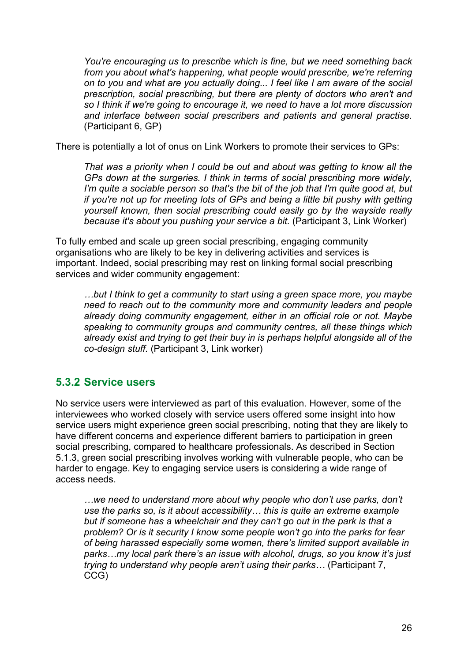*You're encouraging us to prescribe which is fine, but we need something back from you about what's happening, what people would prescribe, we're referring on to you and what are you actually doing... I feel like I am aware of the social prescription, social prescribing, but there are plenty of doctors who aren't and so I think if we're going to encourage it, we need to have a lot more discussion and interface between social prescribers and patients and general practise.*  (Participant 6, GP)

There is potentially a lot of onus on Link Workers to promote their services to GPs:

*That was a priority when I could be out and about was getting to know all the GPs down at the surgeries. I think in terms of social prescribing more widely, I'm quite a sociable person so that's the bit of the job that I'm quite good at, but if you're not up for meeting lots of GPs and being a little bit pushy with getting yourself known, then social prescribing could easily go by the wayside really because it's about you pushing your service a bit.* (Participant 3, Link Worker)

To fully embed and scale up green social prescribing, engaging community organisations who are likely to be key in delivering activities and services is important. Indeed, social prescribing may rest on linking formal social prescribing services and wider community engagement:

*…but I think to get a community to start using a green space more, you maybe need to reach out to the community more and community leaders and people already doing community engagement, either in an official role or not. Maybe speaking to community groups and community centres, all these things which already exist and trying to get their buy in is perhaps helpful alongside all of the co-design stuff.* (Participant 3, Link worker)

### **5.3.2 Service users**

No service users were interviewed as part of this evaluation. However, some of the interviewees who worked closely with service users offered some insight into how service users might experience green social prescribing, noting that they are likely to have different concerns and experience different barriers to participation in green social prescribing, compared to healthcare professionals. As described in Section 5.1.3, green social prescribing involves working with vulnerable people, who can be harder to engage. Key to engaging service users is considering a wide range of access needs.

*…we need to understand more about why people who don't use parks, don't use the parks so, is it about accessibility… this is quite an extreme example but if someone has a wheelchair and they can't go out in the park is that a problem? Or is it security I know some people won't go into the parks for fear of being harassed especially some women, there's limited support available in parks…my local park there's an issue with alcohol, drugs, so you know it's just trying to understand why people aren't using their parks…* (Participant 7, CCG)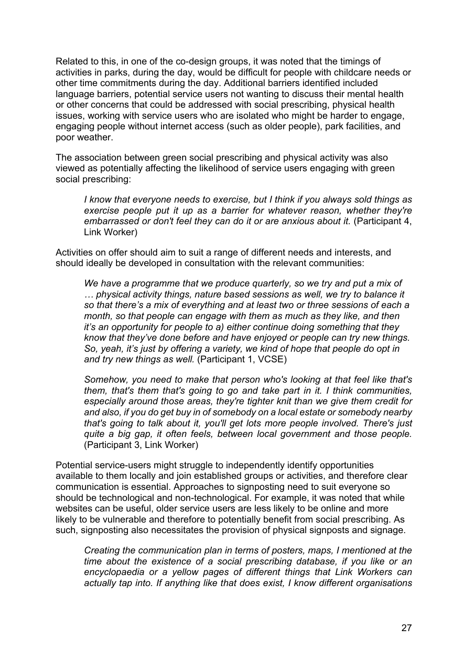Related to this, in one of the co-design groups, it was noted that the timings of activities in parks, during the day, would be difficult for people with childcare needs or other time commitments during the day. Additional barriers identified included language barriers, potential service users not wanting to discuss their mental health or other concerns that could be addressed with social prescribing, physical health issues, working with service users who are isolated who might be harder to engage, engaging people without internet access (such as older people), park facilities, and poor weather.

The association between green social prescribing and physical activity was also viewed as potentially affecting the likelihood of service users engaging with green social prescribing:

*I know that everyone needs to exercise, but I think if you always sold things as exercise people put it up as a barrier for whatever reason, whether they're embarrassed or don't feel they can do it or are anxious about it.* (Participant 4, Link Worker)

Activities on offer should aim to suit a range of different needs and interests, and should ideally be developed in consultation with the relevant communities:

*We have a programme that we produce quarterly, so we try and put a mix of … physical activity things, nature based sessions as well, we try to balance it so that there's a mix of everything and at least two or three sessions of each a month, so that people can engage with them as much as they like, and then it's an opportunity for people to a) either continue doing something that they know that they've done before and have enjoyed or people can try new things. So, yeah, it's just by offering a variety, we kind of hope that people do opt in and try new things as well.* (Participant 1, VCSE)

*Somehow, you need to make that person who's looking at that feel like that's them, that's them that's going to go and take part in it. I think communities, especially around those areas, they're tighter knit than we give them credit for and also, if you do get buy in of somebody on a local estate or somebody nearby that's going to talk about it, you'll get lots more people involved. There's just quite a big gap, it often feels, between local government and those people.* (Participant 3, Link Worker)

Potential service-users might struggle to independently identify opportunities available to them locally and join established groups or activities, and therefore clear communication is essential. Approaches to signposting need to suit everyone so should be technological and non-technological. For example, it was noted that while websites can be useful, older service users are less likely to be online and more likely to be vulnerable and therefore to potentially benefit from social prescribing. As such, signposting also necessitates the provision of physical signposts and signage.

*Creating the communication plan in terms of posters, maps, I mentioned at the time about the existence of a social prescribing database, if you like or an encyclopaedia or a yellow pages of different things that Link Workers can actually tap into. If anything like that does exist, I know different organisations*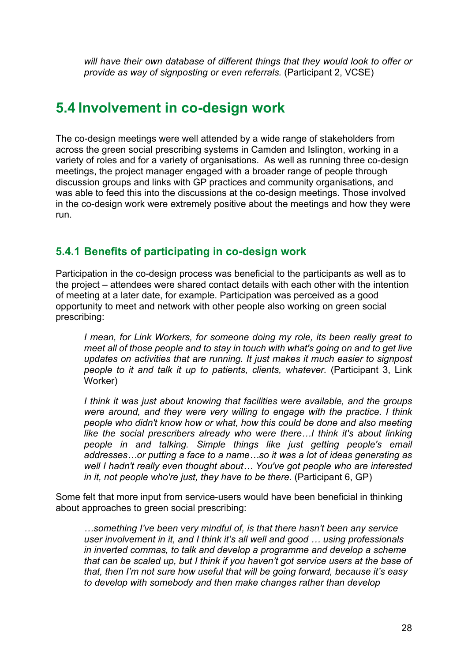*will have their own database of different things that they would look to offer or provide as way of signposting or even referrals.* (Participant 2, VCSE)

## **5.4 Involvement in co-design work**

The co-design meetings were well attended by a wide range of stakeholders from across the green social prescribing systems in Camden and Islington, working in a variety of roles and for a variety of organisations. As well as running three co-design meetings, the project manager engaged with a broader range of people through discussion groups and links with GP practices and community organisations, and was able to feed this into the discussions at the co-design meetings. Those involved in the co-design work were extremely positive about the meetings and how they were run.

## **5.4.1 Benefits of participating in co-design work**

Participation in the co-design process was beneficial to the participants as well as to the project – attendees were shared contact details with each other with the intention of meeting at a later date, for example. Participation was perceived as a good opportunity to meet and network with other people also working on green social prescribing:

*I mean, for Link Workers, for someone doing my role, its been really great to meet all of those people and to stay in touch with what's going on and to get live updates on activities that are running. It just makes it much easier to signpost people to it and talk it up to patients, clients, whatever.* (Participant 3, Link Worker)

*I think it was just about knowing that facilities were available, and the groups were around, and they were very willing to engage with the practice. I think people who didn't know how or what, how this could be done and also meeting*  like the social prescribers already who were there...I think it's about linking *people in and talking. Simple things like just getting people's email addresses…or putting a face to a name…so it was a lot of ideas generating as well I hadn't really even thought about… You've got people who are interested in it, not people who're just, they have to be there.* (Participant 6, GP)

Some felt that more input from service-users would have been beneficial in thinking about approaches to green social prescribing:

*…something I've been very mindful of, is that there hasn't been any service user involvement in it, and I think it's all well and good … using professionals in inverted commas, to talk and develop a programme and develop a scheme that can be scaled up, but I think if you haven't got service users at the base of that, then I'm not sure how useful that will be going forward, because it's easy to develop with somebody and then make changes rather than develop*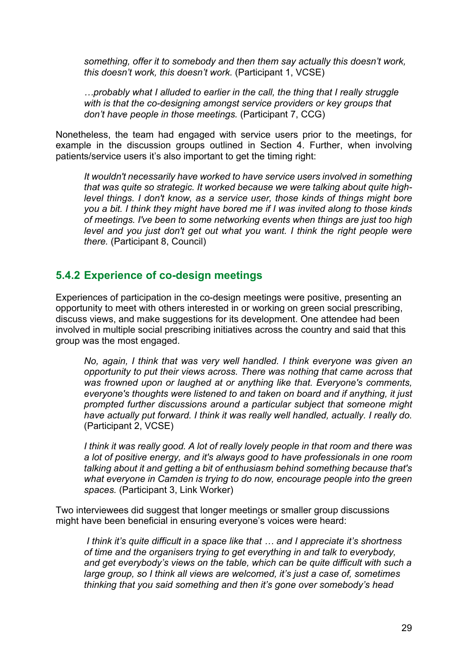*something, offer it to somebody and then them say actually this doesn't work, this doesn't work, this doesn't work.* (Participant 1, VCSE)

*…probably what I alluded to earlier in the call, the thing that I really struggle with is that the co-designing amongst service providers or key groups that don't have people in those meetings.* (Participant 7, CCG)

Nonetheless, the team had engaged with service users prior to the meetings, for example in the discussion groups outlined in Section 4. Further, when involving patients/service users it's also important to get the timing right:

*It wouldn't necessarily have worked to have service users involved in something that was quite so strategic. It worked because we were talking about quite highlevel things. I don't know, as a service user, those kinds of things might bore you a bit. I think they might have bored me if I was invited along to those kinds of meetings. I've been to some networking events when things are just too high level and you just don't get out what you want. I think the right people were there.* (Participant 8, Council)

## **5.4.2 Experience of co-design meetings**

Experiences of participation in the co-design meetings were positive, presenting an opportunity to meet with others interested in or working on green social prescribing, discuss views, and make suggestions for its development. One attendee had been involved in multiple social prescribing initiatives across the country and said that this group was the most engaged.

*No, again, I think that was very well handled. I think everyone was given an opportunity to put their views across. There was nothing that came across that was frowned upon or laughed at or anything like that. Everyone's comments, everyone's thoughts were listened to and taken on board and if anything, it just prompted further discussions around a particular subject that someone might have actually put forward. I think it was really well handled, actually. I really do.* (Participant 2, VCSE)

*I think it was really good. A lot of really lovely people in that room and there was a lot of positive energy, and it's always good to have professionals in one room talking about it and getting a bit of enthusiasm behind something because that's what everyone in Camden is trying to do now, encourage people into the green spaces.* (Participant 3, Link Worker)

Two interviewees did suggest that longer meetings or smaller group discussions might have been beneficial in ensuring everyone's voices were heard:

*I think it's quite difficult in a space like that … and I appreciate it's shortness of time and the organisers trying to get everything in and talk to everybody,*  and get everybody's views on the table, which can be quite difficult with such a *large group, so I think all views are welcomed, it's just a case of, sometimes thinking that you said something and then it's gone over somebody's head*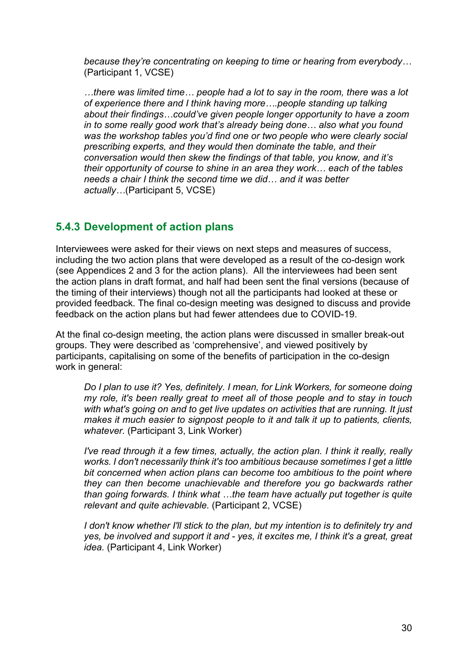*because they're concentrating on keeping to time or hearing from everybody…*  (Participant 1, VCSE)

*…there was limited time… people had a lot to say in the room, there was a lot of experience there and I think having more….people standing up talking about their findings…could've given people longer opportunity to have a zoom in to some really good work that's already being done… also what you found was the workshop tables you'd find one or two people who were clearly social prescribing experts, and they would then dominate the table, and their conversation would then skew the findings of that table, you know, and it's their opportunity of course to shine in an area they work… each of the tables needs a chair I think the second time we did… and it was better actually…*(Participant 5, VCSE)

## **5.4.3 Development of action plans**

Interviewees were asked for their views on next steps and measures of success, including the two action plans that were developed as a result of the co-design work (see Appendices 2 and 3 for the action plans). All the interviewees had been sent the action plans in draft format, and half had been sent the final versions (because of the timing of their interviews) though not all the participants had looked at these or provided feedback. The final co-design meeting was designed to discuss and provide feedback on the action plans but had fewer attendees due to COVID-19.

At the final co-design meeting, the action plans were discussed in smaller break-out groups. They were described as 'comprehensive', and viewed positively by participants, capitalising on some of the benefits of participation in the co-design work in general:

*Do I plan to use it? Yes, definitely. I mean, for Link Workers, for someone doing my role, it's been really great to meet all of those people and to stay in touch with what's going on and to get live updates on activities that are running. It just makes it much easier to signpost people to it and talk it up to patients, clients, whatever.* (Participant 3, Link Worker)

*I've read through it a few times, actually, the action plan. I think it really, really works. I don't necessarily think it's too ambitious because sometimes I get a little bit concerned when action plans can become too ambitious to the point where they can then become unachievable and therefore you go backwards rather than going forwards. I think what …the team have actually put together is quite relevant and quite achievable.* (Participant 2, VCSE)

I don't know whether I'll stick to the plan, but my intention is to definitely try and *yes, be involved and support it and - yes, it excites me, I think it's a great, great idea.* (Participant 4, Link Worker)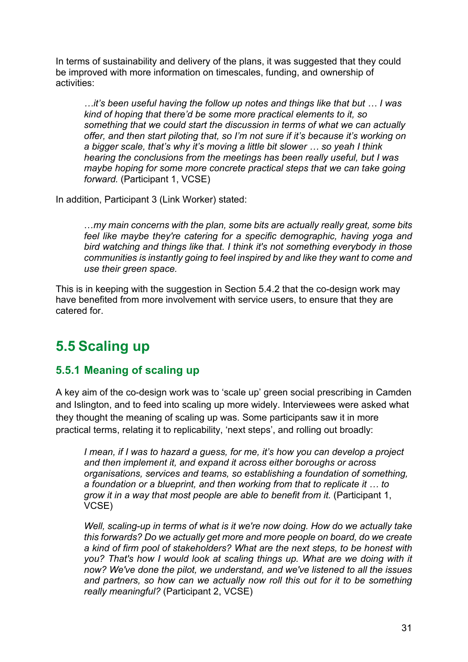In terms of sustainability and delivery of the plans, it was suggested that they could be improved with more information on timescales, funding, and ownership of activities:

*…it's been useful having the follow up notes and things like that but … I was kind of hoping that there'd be some more practical elements to it, so something that we could start the discussion in terms of what we can actually offer, and then start piloting that, so I'm not sure if it's because it's working on a bigger scale, that's why it's moving a little bit slower … so yeah I think hearing the conclusions from the meetings has been really useful, but I was maybe hoping for some more concrete practical steps that we can take going forward.* (Participant 1, VCSE)

In addition, Participant 3 (Link Worker) stated:

…*my main concerns with the plan, some bits are actually really great, some bits feel like maybe they're catering for a specific demographic, having yoga and bird watching and things like that. I think it's not something everybody in those communities is instantly going to feel inspired by and like they want to come and use their green space.*

This is in keeping with the suggestion in Section 5.4.2 that the co-design work may have benefited from more involvement with service users, to ensure that they are catered for.

# **5.5 Scaling up**

## **5.5.1 Meaning of scaling up**

A key aim of the co-design work was to 'scale up' green social prescribing in Camden and Islington, and to feed into scaling up more widely. Interviewees were asked what they thought the meaning of scaling up was. Some participants saw it in more practical terms, relating it to replicability, 'next steps', and rolling out broadly:

*I mean, if I was to hazard a guess, for me, it's how you can develop a project and then implement it, and expand it across either boroughs or across organisations, services and teams, so establishing a foundation of something, a foundation or a blueprint, and then working from that to replicate it … to grow it in a way that most people are able to benefit from it.* (Participant 1, VCSE)

*Well, scaling-up in terms of what is it we're now doing. How do we actually take this forwards? Do we actually get more and more people on board, do we create a kind of firm pool of stakeholders? What are the next steps, to be honest with you? That's how I would look at scaling things up. What are we doing with it now? We've done the pilot, we understand, and we've listened to all the issues*  and partners, so how can we actually now roll this out for it to be something *really meaningful?* (Participant 2, VCSE)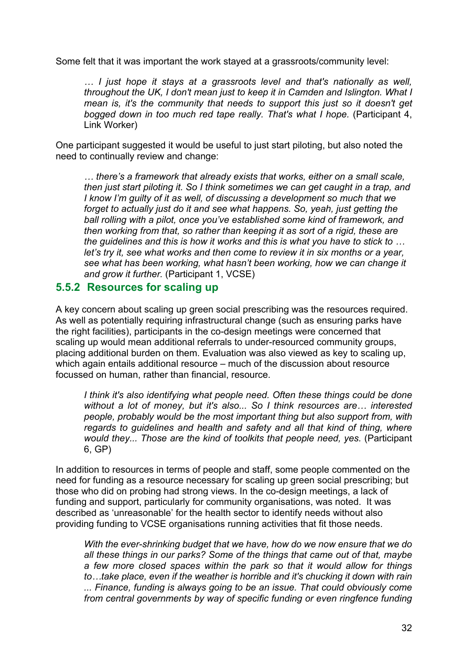Some felt that it was important the work stayed at a grassroots/community level:

*… I just hope it stays at a grassroots level and that's nationally as well, throughout the UK, I don't mean just to keep it in Camden and Islington. What I mean is, it's the community that needs to support this just so it doesn't get bogged down in too much red tape really. That's what I hope.* (Participant 4, Link Worker)

One participant suggested it would be useful to just start piloting, but also noted the need to continually review and change:

*… there's a framework that already exists that works, either on a small scale, then just start piloting it. So I think sometimes we can get caught in a trap, and I know I'm guilty of it as well, of discussing a development so much that we forget to actually just do it and see what happens. So, yeah, just getting the ball rolling with a pilot, once you've established some kind of framework, and then working from that, so rather than keeping it as sort of a rigid, these are the guidelines and this is how it works and this is what you have to stick to …*  let's try it, see what works and then come to review it in six months or a year, *see what has been working, what hasn't been working, how we can change it and grow it further.* (Participant 1, VCSE)

### **5.5.2 Resources for scaling up**

A key concern about scaling up green social prescribing was the resources required. As well as potentially requiring infrastructural change (such as ensuring parks have the right facilities), participants in the co-design meetings were concerned that scaling up would mean additional referrals to under-resourced community groups, placing additional burden on them. Evaluation was also viewed as key to scaling up, which again entails additional resource – much of the discussion about resource focussed on human, rather than financial, resource.

I think it's also identifying what people need. Often these things could be done *without a lot of money, but it's also... So I think resources are… interested people, probably would be the most important thing but also support from, with regards to guidelines and health and safety and all that kind of thing, where would they... Those are the kind of toolkits that people need, yes.* (Participant 6, GP)

In addition to resources in terms of people and staff, some people commented on the need for funding as a resource necessary for scaling up green social prescribing; but those who did on probing had strong views. In the co-design meetings, a lack of funding and support, particularly for community organisations, was noted. It was described as 'unreasonable' for the health sector to identify needs without also providing funding to VCSE organisations running activities that fit those needs.

*With the ever-shrinking budget that we have, how do we now ensure that we do all these things in our parks? Some of the things that came out of that, maybe a few more closed spaces within the park so that it would allow for things to…take place, even if the weather is horrible and it's chucking it down with rain ... Finance, funding is always going to be an issue. That could obviously come from central governments by way of specific funding or even ringfence funding*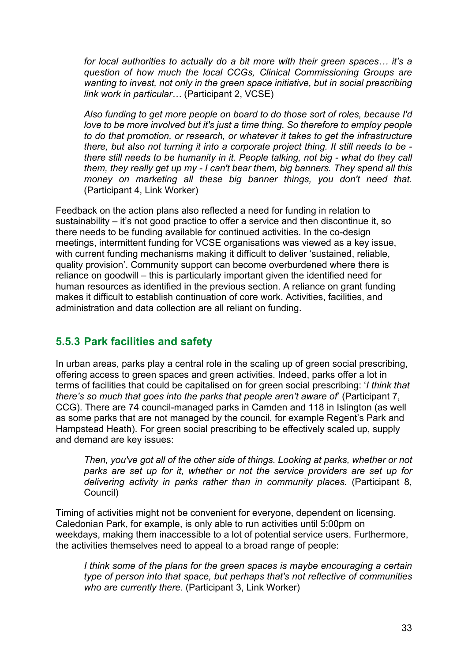*for local authorities to actually do a bit more with their green spaces… it's a question of how much the local CCGs, Clinical Commissioning Groups are wanting to invest, not only in the green space initiative, but in social prescribing link work in particular…* (Participant 2, VCSE)

*Also funding to get more people on board to do those sort of roles, because I'd love to be more involved but it's just a time thing. So therefore to employ people to do that promotion, or research, or whatever it takes to get the infrastructure there, but also not turning it into a corporate project thing. It still needs to be there still needs to be humanity in it. People talking, not big - what do they call them, they really get up my - I can't bear them, big banners. They spend all this money on marketing all these big banner things, you don't need that.*  (Participant 4, Link Worker)

Feedback on the action plans also reflected a need for funding in relation to sustainability – it's not good practice to offer a service and then discontinue it, so there needs to be funding available for continued activities. In the co-design meetings, intermittent funding for VCSE organisations was viewed as a key issue, with current funding mechanisms making it difficult to deliver 'sustained, reliable, quality provision'. Community support can become overburdened where there is reliance on goodwill – this is particularly important given the identified need for human resources as identified in the previous section. A reliance on grant funding makes it difficult to establish continuation of core work. Activities, facilities, and administration and data collection are all reliant on funding.

## **5.5.3 Park facilities and safety**

In urban areas, parks play a central role in the scaling up of green social prescribing, offering access to green spaces and green activities. Indeed, parks offer a lot in terms of facilities that could be capitalised on for green social prescribing: '*I think that there's so much that goes into the parks that people aren't aware of*' (Participant 7, CCG). There are 74 council-managed parks in Camden and 118 in Islington (as well as some parks that are not managed by the council, for example Regent's Park and Hampstead Heath). For green social prescribing to be effectively scaled up, supply and demand are key issues:

*Then, you've got all of the other side of things. Looking at parks, whether or not parks are set up for it, whether or not the service providers are set up for delivering activity in parks rather than in community places.* (Participant 8, Council)

Timing of activities might not be convenient for everyone, dependent on licensing. Caledonian Park, for example, is only able to run activities until 5:00pm on weekdays, making them inaccessible to a lot of potential service users. Furthermore, the activities themselves need to appeal to a broad range of people:

*I think some of the plans for the green spaces is maybe encouraging a certain type of person into that space, but perhaps that's not reflective of communities who are currently there.* (Participant 3, Link Worker)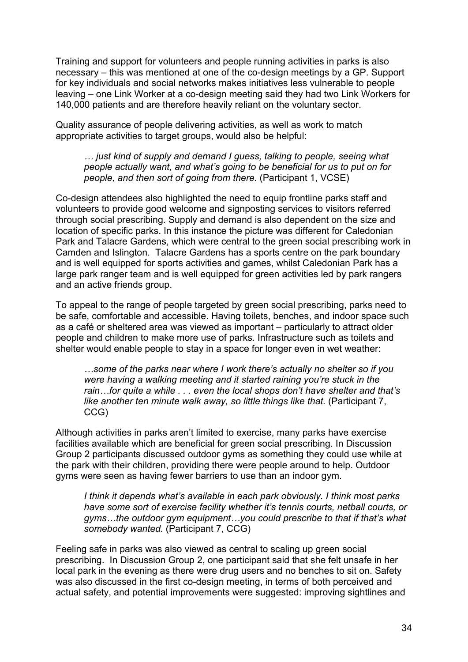Training and support for volunteers and people running activities in parks is also necessary – this was mentioned at one of the co-design meetings by a GP. Support for key individuals and social networks makes initiatives less vulnerable to people leaving – one Link Worker at a co-design meeting said they had two Link Workers for 140,000 patients and are therefore heavily reliant on the voluntary sector.

Quality assurance of people delivering activities, as well as work to match appropriate activities to target groups, would also be helpful:

*… just kind of supply and demand I guess, talking to people, seeing what people actually want, and what's going to be beneficial for us to put on for people, and then sort of going from there.* (Participant 1, VCSE)

Co-design attendees also highlighted the need to equip frontline parks staff and volunteers to provide good welcome and signposting services to visitors referred through social prescribing. Supply and demand is also dependent on the size and location of specific parks. In this instance the picture was different for Caledonian Park and Talacre Gardens, which were central to the green social prescribing work in Camden and Islington. Talacre Gardens has a sports centre on the park boundary and is well equipped for sports activities and games, whilst Caledonian Park has a large park ranger team and is well equipped for green activities led by park rangers and an active friends group.

To appeal to the range of people targeted by green social prescribing, parks need to be safe, comfortable and accessible. Having toilets, benches, and indoor space such as a café or sheltered area was viewed as important – particularly to attract older people and children to make more use of parks. Infrastructure such as toilets and shelter would enable people to stay in a space for longer even in wet weather:

*…some of the parks near where I work there's actually no shelter so if you were having a walking meeting and it started raining you're stuck in the rain…for quite a while . . . even the local shops don't have shelter and that's like another ten minute walk away, so little things like that.* (Participant 7, CCG)

Although activities in parks aren't limited to exercise, many parks have exercise facilities available which are beneficial for green social prescribing. In Discussion Group 2 participants discussed outdoor gyms as something they could use while at the park with their children, providing there were people around to help. Outdoor gyms were seen as having fewer barriers to use than an indoor gym.

*I think it depends what's available in each park obviously. I think most parks have some sort of exercise facility whether it's tennis courts, netball courts, or gyms…the outdoor gym equipment…you could prescribe to that if that's what somebody wanted.* (Participant 7, CCG)

Feeling safe in parks was also viewed as central to scaling up green social prescribing. In Discussion Group 2, one participant said that she felt unsafe in her local park in the evening as there were drug users and no benches to sit on. Safety was also discussed in the first co-design meeting, in terms of both perceived and actual safety, and potential improvements were suggested: improving sightlines and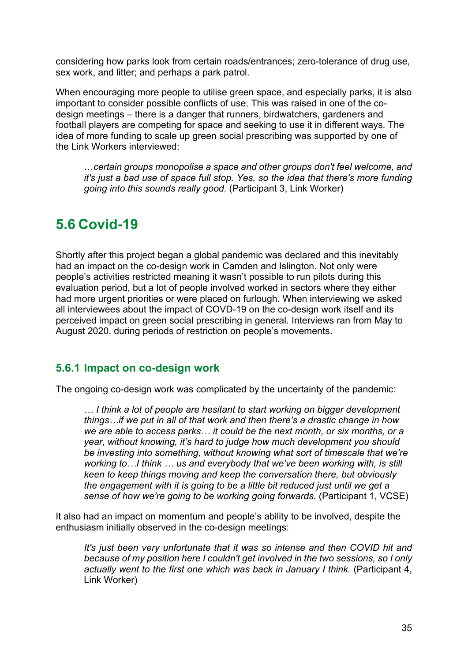considering how parks look from certain roads/entrances; zero-tolerance of drug use, sex work, and litter; and perhaps a park patrol.

When encouraging more people to utilise green space, and especially parks, it is also important to consider possible conflicts of use. This was raised in one of the codesign meetings – there is a danger that runners, birdwatchers, gardeners and football players are competing for space and seeking to use it in different ways. The idea of more funding to scale up green social prescribing was supported by one of the Link Workers interviewed:

…*certain groups monopolise a space and other groups don't feel welcome, and it's just a bad use of space full stop. Yes, so the idea that there's more funding going into this sounds really good.* (Participant 3, Link Worker)

## **5.6 Covid-19**

Shortly after this project began a global pandemic was declared and this inevitably had an impact on the co-design work in Camden and Islington. Not only were people's activities restricted meaning it wasn't possible to run pilots during this evaluation period, but a lot of people involved worked in sectors where they either had more urgent priorities or were placed on furlough. When interviewing we asked all interviewees about the impact of COVD-19 on the co-design work itself and its perceived impact on green social prescribing in general. Interviews ran from May to August 2020, during periods of restriction on people's movements.

### **5.6.1 Impact on co-design work**

The ongoing co-design work was complicated by the uncertainty of the pandemic:

*… I think a lot of people are hesitant to start working on bigger development things…if we put in all of that work and then there's a drastic change in how we are able to access parks… it could be the next month, or six months, or a year, without knowing, it's hard to judge how much development you should be investing into something, without knowing what sort of timescale that we're working to…I think … us and everybody that we've been working with, is still keen to keep things moving and keep the conversation there, but obviously*  the engagement with it is going to be a little bit reduced just until we get a *sense of how we're going to be working going forwards.* (Participant 1, VCSE)

It also had an impact on momentum and people's ability to be involved, despite the enthusiasm initially observed in the co-design meetings:

It's just been very unfortunate that it was so intense and then COVID hit and *because of my position here I couldn't get involved in the two sessions, so I only*  actually went to the first one which was back in January I think. (Participant 4, Link Worker)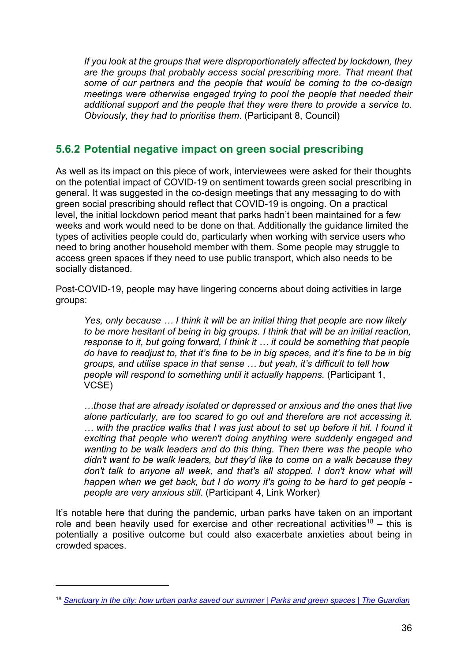*If you look at the groups that were disproportionately affected by lockdown, they*  are the groups that probably access social prescribing more. That meant that *some of our partners and the people that would be coming to the co-design meetings were otherwise engaged trying to pool the people that needed their additional support and the people that they were there to provide a service to. Obviously, they had to prioritise them*. (Participant 8, Council)

## **5.6.2 Potential negative impact on green social prescribing**

As well as its impact on this piece of work, interviewees were asked for their thoughts on the potential impact of COVID-19 on sentiment towards green social prescribing in general. It was suggested in the co-design meetings that any messaging to do with green social prescribing should reflect that COVID-19 is ongoing. On a practical level, the initial lockdown period meant that parks hadn't been maintained for a few weeks and work would need to be done on that. Additionally the guidance limited the types of activities people could do, particularly when working with service users who need to bring another household member with them. Some people may struggle to access green spaces if they need to use public transport, which also needs to be socially distanced.

Post-COVID-19, people may have lingering concerns about doing activities in large groups:

*Yes, only because … I think it will be an initial thing that people are now likely to be more hesitant of being in big groups. I think that will be an initial reaction, response to it, but going forward, I think it … it could be something that people do have to readjust to, that it's fine to be in big spaces, and it's fine to be in big groups, and utilise space in that sense … but yeah, it's difficult to tell how people will respond to something until it actually happens.* (Participant 1, VCSE)

*…those that are already isolated or depressed or anxious and the ones that live alone particularly, are too scared to go out and therefore are not accessing it. … with the practice walks that I was just about to set up before it hit. I found it exciting that people who weren't doing anything were suddenly engaged and wanting to be walk leaders and do this thing. Then there was the people who didn't want to be walk leaders, but they'd like to come on a walk because they*  don't talk to anyone all week, and that's all stopped. I don't know what will *happen when we get back, but I do worry it's going to be hard to get people people are very anxious still*. (Participant 4, Link Worker)

It's notable here that during the pandemic, urban parks have taken on an important role and been heavily used for exercise and other recreational activities<sup>18</sup> – this is potentially a positive outcome but could also exacerbate anxieties about being in crowded spaces.

<sup>18</sup> *Sanctuary in the city: how urban parks saved our summer | Parks and green spaces | The Guardian*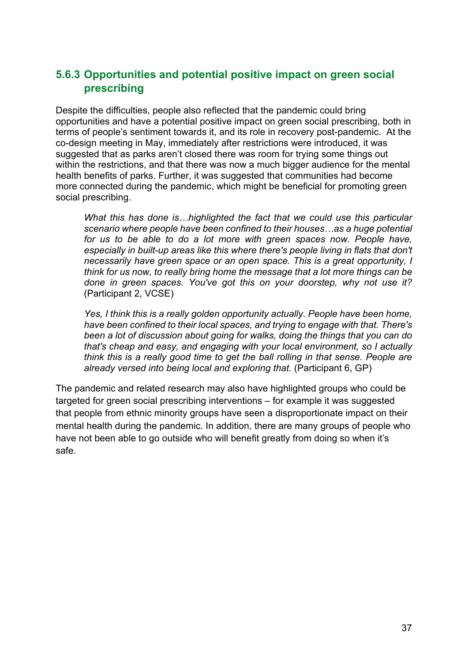## **5.6.3 Opportunities and potential positive impact on green social prescribing**

Despite the difficulties, people also reflected that the pandemic could bring opportunities and have a potential positive impact on green social prescribing, both in terms of people's sentiment towards it, and its role in recovery post-pandemic. At the co-design meeting in May, immediately after restrictions were introduced, it was suggested that as parks aren't closed there was room for trying some things out within the restrictions, and that there was now a much bigger audience for the mental health benefits of parks. Further, it was suggested that communities had become more connected during the pandemic, which might be beneficial for promoting green social prescribing.

*What this has done is...highlighted the fact that we could use this particular scenario where people have been confined to their houses…as a huge potential*  for us to be able to do a lot more with green spaces now. People have, especially in built-up areas like this where there's people living in flats that don't *necessarily have green space or an open space. This is a great opportunity, I think for us now, to really bring home the message that a lot more things can be done in green spaces. You've got this on your doorstep, why not use it?*  (Participant 2, VCSE)

*Yes, I think this is a really golden opportunity actually. People have been home, have been confined to their local spaces, and trying to engage with that. There's been a lot of discussion about going for walks, doing the things that you can do that's cheap and easy, and engaging with your local environment, so I actually think this is a really good time to get the ball rolling in that sense. People are already versed into being local and exploring that.* (Participant 6, GP)

The pandemic and related research may also have highlighted groups who could be targeted for green social prescribing interventions – for example it was suggested that people from ethnic minority groups have seen a disproportionate impact on their mental health during the pandemic. In addition, there are many groups of people who have not been able to go outside who will benefit greatly from doing so when it's safe.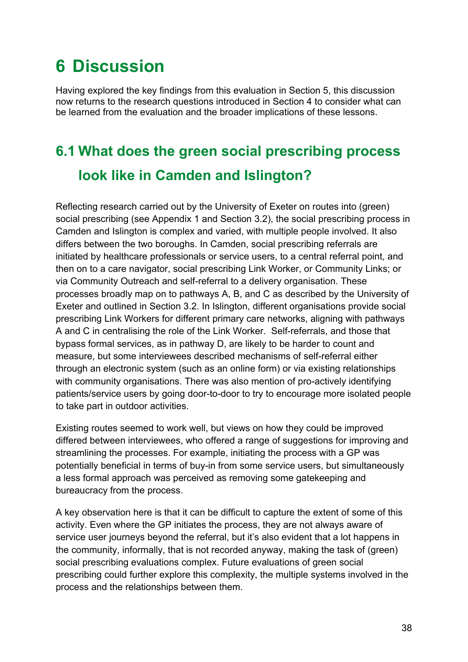# **6 Discussion**

Having explored the key findings from this evaluation in Section 5, this discussion now returns to the research questions introduced in Section 4 to consider what can be learned from the evaluation and the broader implications of these lessons.

# **6.1 What does the green social prescribing process look like in Camden and Islington?**

Reflecting research carried out by the University of Exeter on routes into (green) social prescribing (see Appendix 1 and Section 3.2), the social prescribing process in Camden and Islington is complex and varied, with multiple people involved. It also differs between the two boroughs. In Camden, social prescribing referrals are initiated by healthcare professionals or service users, to a central referral point, and then on to a care navigator, social prescribing Link Worker, or Community Links; or via Community Outreach and self-referral to a delivery organisation. These processes broadly map on to pathways A, B, and C as described by the University of Exeter and outlined in Section 3.2. In Islington, different organisations provide social prescribing Link Workers for different primary care networks, aligning with pathways A and C in centralising the role of the Link Worker. Self-referrals, and those that bypass formal services, as in pathway D, are likely to be harder to count and measure, but some interviewees described mechanisms of self-referral either through an electronic system (such as an online form) or via existing relationships with community organisations. There was also mention of pro-actively identifying patients/service users by going door-to-door to try to encourage more isolated people to take part in outdoor activities.

Existing routes seemed to work well, but views on how they could be improved differed between interviewees, who offered a range of suggestions for improving and streamlining the processes. For example, initiating the process with a GP was potentially beneficial in terms of buy-in from some service users, but simultaneously a less formal approach was perceived as removing some gatekeeping and bureaucracy from the process.

A key observation here is that it can be difficult to capture the extent of some of this activity. Even where the GP initiates the process, they are not always aware of service user journeys beyond the referral, but it's also evident that a lot happens in the community, informally, that is not recorded anyway, making the task of (green) social prescribing evaluations complex. Future evaluations of green social prescribing could further explore this complexity, the multiple systems involved in the process and the relationships between them.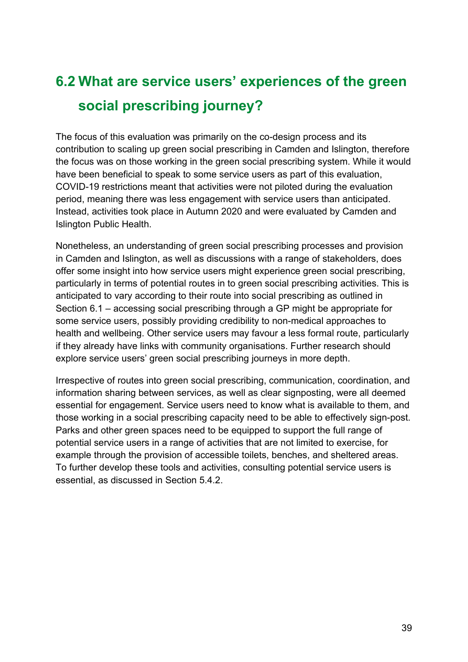# **6.2 What are service users' experiences of the green social prescribing journey?**

The focus of this evaluation was primarily on the co-design process and its contribution to scaling up green social prescribing in Camden and Islington, therefore the focus was on those working in the green social prescribing system. While it would have been beneficial to speak to some service users as part of this evaluation, COVID-19 restrictions meant that activities were not piloted during the evaluation period, meaning there was less engagement with service users than anticipated. Instead, activities took place in Autumn 2020 and were evaluated by Camden and Islington Public Health.

Nonetheless, an understanding of green social prescribing processes and provision in Camden and Islington, as well as discussions with a range of stakeholders, does offer some insight into how service users might experience green social prescribing, particularly in terms of potential routes in to green social prescribing activities. This is anticipated to vary according to their route into social prescribing as outlined in Section 6.1 – accessing social prescribing through a GP might be appropriate for some service users, possibly providing credibility to non-medical approaches to health and wellbeing. Other service users may favour a less formal route, particularly if they already have links with community organisations. Further research should explore service users' green social prescribing journeys in more depth.

Irrespective of routes into green social prescribing, communication, coordination, and information sharing between services, as well as clear signposting, were all deemed essential for engagement. Service users need to know what is available to them, and those working in a social prescribing capacity need to be able to effectively sign-post. Parks and other green spaces need to be equipped to support the full range of potential service users in a range of activities that are not limited to exercise, for example through the provision of accessible toilets, benches, and sheltered areas. To further develop these tools and activities, consulting potential service users is essential, as discussed in Section 5.4.2.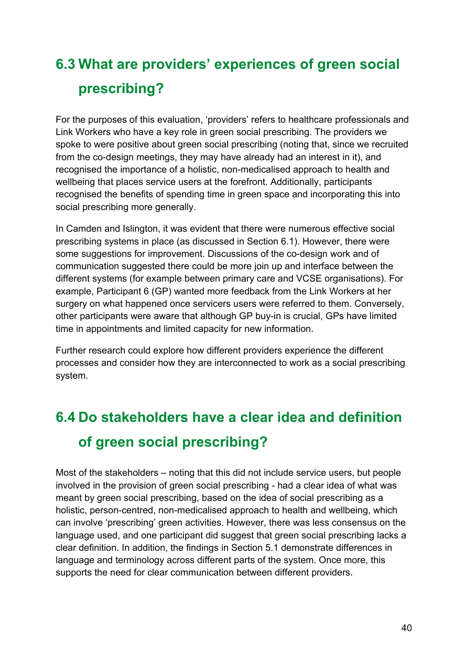# **6.3 What are providers' experiences of green social prescribing?**

For the purposes of this evaluation, 'providers' refers to healthcare professionals and Link Workers who have a key role in green social prescribing. The providers we spoke to were positive about green social prescribing (noting that, since we recruited from the co-design meetings, they may have already had an interest in it), and recognised the importance of a holistic, non-medicalised approach to health and wellbeing that places service users at the forefront. Additionally, participants recognised the benefits of spending time in green space and incorporating this into social prescribing more generally.

In Camden and Islington, it was evident that there were numerous effective social prescribing systems in place (as discussed in Section 6.1). However, there were some suggestions for improvement. Discussions of the co-design work and of communication suggested there could be more join up and interface between the different systems (for example between primary care and VCSE organisations). For example, Participant 6 (GP) wanted more feedback from the Link Workers at her surgery on what happened once servicers users were referred to them. Conversely, other participants were aware that although GP buy-in is crucial, GPs have limited time in appointments and limited capacity for new information.

Further research could explore how different providers experience the different processes and consider how they are interconnected to work as a social prescribing system.

# **6.4 Do stakeholders have a clear idea and definition of green social prescribing?**

Most of the stakeholders – noting that this did not include service users, but people involved in the provision of green social prescribing - had a clear idea of what was meant by green social prescribing, based on the idea of social prescribing as a holistic, person-centred, non-medicalised approach to health and wellbeing, which can involve 'prescribing' green activities. However, there was less consensus on the language used, and one participant did suggest that green social prescribing lacks a clear definition. In addition, the findings in Section 5.1 demonstrate differences in language and terminology across different parts of the system. Once more, this supports the need for clear communication between different providers.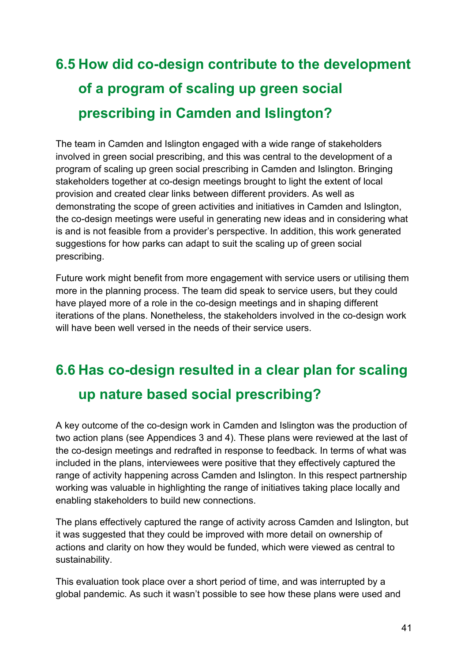# **6.5 How did co-design contribute to the development of a program of scaling up green social prescribing in Camden and Islington?**

The team in Camden and Islington engaged with a wide range of stakeholders involved in green social prescribing, and this was central to the development of a program of scaling up green social prescribing in Camden and Islington. Bringing stakeholders together at co-design meetings brought to light the extent of local provision and created clear links between different providers. As well as demonstrating the scope of green activities and initiatives in Camden and Islington, the co-design meetings were useful in generating new ideas and in considering what is and is not feasible from a provider's perspective. In addition, this work generated suggestions for how parks can adapt to suit the scaling up of green social prescribing.

Future work might benefit from more engagement with service users or utilising them more in the planning process. The team did speak to service users, but they could have played more of a role in the co-design meetings and in shaping different iterations of the plans. Nonetheless, the stakeholders involved in the co-design work will have been well versed in the needs of their service users.

# **6.6 Has co-design resulted in a clear plan for scaling up nature based social prescribing?**

A key outcome of the co-design work in Camden and Islington was the production of two action plans (see Appendices 3 and 4). These plans were reviewed at the last of the co-design meetings and redrafted in response to feedback. In terms of what was included in the plans, interviewees were positive that they effectively captured the range of activity happening across Camden and Islington. In this respect partnership working was valuable in highlighting the range of initiatives taking place locally and enabling stakeholders to build new connections.

The plans effectively captured the range of activity across Camden and Islington, but it was suggested that they could be improved with more detail on ownership of actions and clarity on how they would be funded, which were viewed as central to sustainability.

This evaluation took place over a short period of time, and was interrupted by a global pandemic. As such it wasn't possible to see how these plans were used and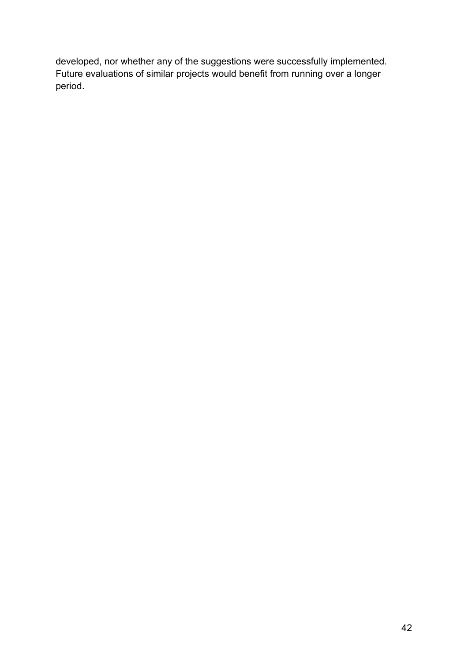developed, nor whether any of the suggestions were successfully implemented. Future evaluations of similar projects would benefit from running over a longer period.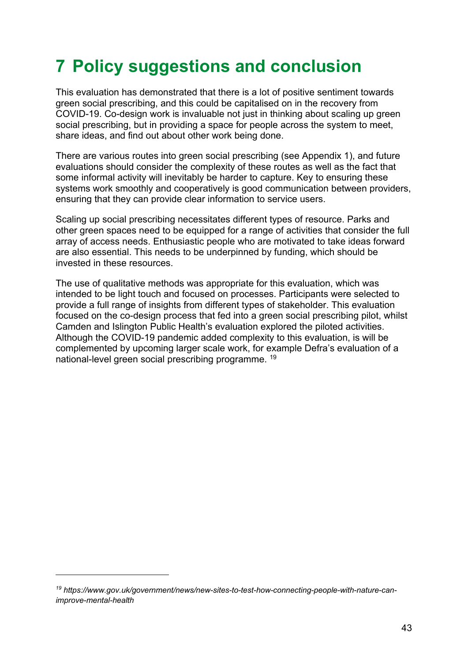# **7 Policy suggestions and conclusion**

This evaluation has demonstrated that there is a lot of positive sentiment towards green social prescribing, and this could be capitalised on in the recovery from COVID-19. Co-design work is invaluable not just in thinking about scaling up green social prescribing, but in providing a space for people across the system to meet, share ideas, and find out about other work being done.

There are various routes into green social prescribing (see Appendix 1), and future evaluations should consider the complexity of these routes as well as the fact that some informal activity will inevitably be harder to capture. Key to ensuring these systems work smoothly and cooperatively is good communication between providers, ensuring that they can provide clear information to service users.

Scaling up social prescribing necessitates different types of resource. Parks and other green spaces need to be equipped for a range of activities that consider the full array of access needs. Enthusiastic people who are motivated to take ideas forward are also essential. This needs to be underpinned by funding, which should be invested in these resources.

The use of qualitative methods was appropriate for this evaluation, which was intended to be light touch and focused on processes. Participants were selected to provide a full range of insights from different types of stakeholder. This evaluation focused on the co-design process that fed into a green social prescribing pilot, whilst Camden and Islington Public Health's evaluation explored the piloted activities. Although the COVID-19 pandemic added complexity to this evaluation, is will be complemented by upcoming larger scale work, for example Defra's evaluation of a national-level green social prescribing programme. 19

*<sup>19</sup> https://www.gov.uk/government/news/new-sites-to-test-how-connecting-people-with-nature-canimprove-mental-health*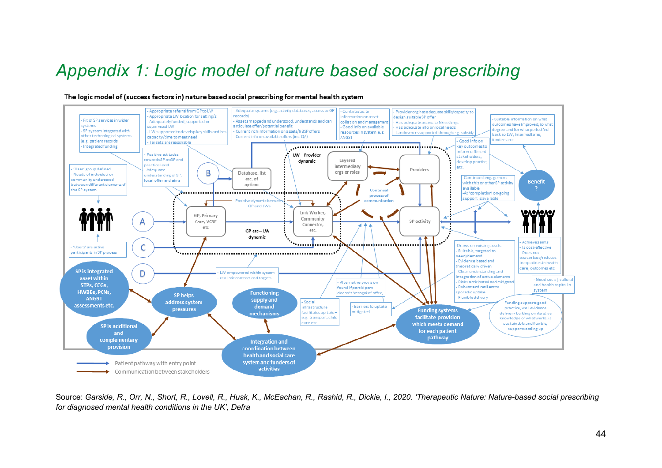# *Appendix 1: Logic model of nature based social prescribing*



#### The logic model of (success factors in) nature based social prescribing for mental health system

Source: *Garside, R., Orr, N., Short, R., Lovell, R., Husk, K., McEachan, R., Rashid, R., Dickie, I., 2020. 'Therapeutic Nature: Nature-based social prescribing for diagnosed mental health conditions in the UK', Defra*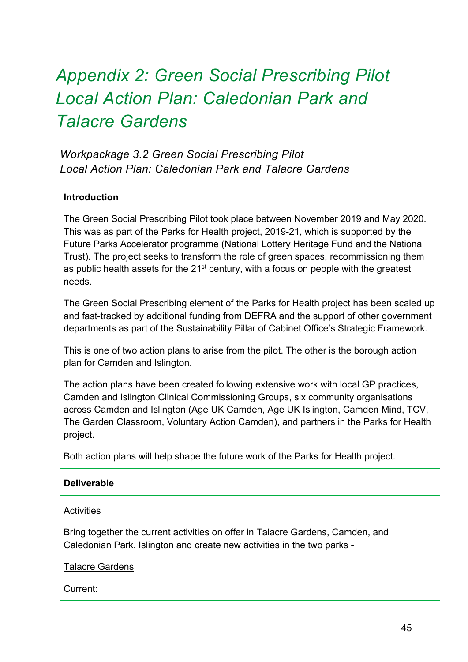# *Appendix 2: Green Social Prescribing Pilot Local Action Plan: Caledonian Park and Talacre Gardens*

*Workpackage 3.2 Green Social Prescribing Pilot Local Action Plan: Caledonian Park and Talacre Gardens* 

### **Introduction**

The Green Social Prescribing Pilot took place between November 2019 and May 2020. This was as part of the Parks for Health project, 2019-21, which is supported by the Future Parks Accelerator programme (National Lottery Heritage Fund and the National Trust). The project seeks to transform the role of green spaces, recommissioning them as public health assets for the  $21^{st}$  century, with a focus on people with the greatest needs.

The Green Social Prescribing element of the Parks for Health project has been scaled up and fast-tracked by additional funding from DEFRA and the support of other government departments as part of the Sustainability Pillar of Cabinet Office's Strategic Framework.

This is one of two action plans to arise from the pilot. The other is the borough action plan for Camden and Islington.

The action plans have been created following extensive work with local GP practices, Camden and Islington Clinical Commissioning Groups, six community organisations across Camden and Islington (Age UK Camden, Age UK Islington, Camden Mind, TCV, The Garden Classroom, Voluntary Action Camden), and partners in the Parks for Health project.

Both action plans will help shape the future work of the Parks for Health project.

#### **Deliverable**

**Activities** 

Bring together the current activities on offer in Talacre Gardens, Camden, and Caledonian Park, Islington and create new activities in the two parks -

Talacre Gardens

Current: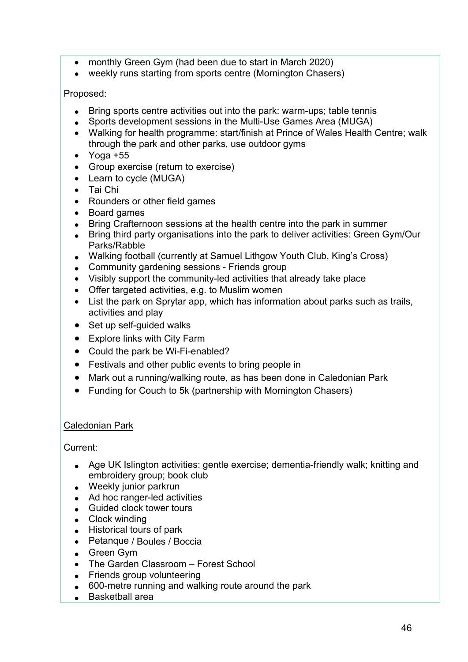- monthly Green Gym (had been due to start in March 2020)
- weekly runs starting from sports centre (Mornington Chasers)

#### Proposed:

- Bring sports centre activities out into the park: warm-ups; table tennis
- Sports development sessions in the Multi-Use Games Area (MUGA)
- Walking for health programme: start/finish at Prince of Wales Health Centre; walk through the park and other parks, use outdoor gyms
- $\bullet$  Yoga +55
- Group exercise (return to exercise)
- Learn to cycle (MUGA)
- Tai Chi
- Rounders or other field games
- Board games
- Bring Crafternoon sessions at the health centre into the park in summer
- Bring third party organisations into the park to deliver activities: Green Gym/Our Parks/Rabble
- Walking football (currently at Samuel Lithgow Youth Club, King's Cross)
- Community gardening sessions Friends group
- Visibly support the community-led activities that already take place
- Offer targeted activities, e.g. to Muslim women
- List the park on Sprytar app, which has information about parks such as trails, activities and play
- Set up self-guided walks
- Explore links with City Farm
- Could the park be Wi-Fi-enabled?
- Festivals and other public events to bring people in
- Mark out a running/walking route, as has been done in Caledonian Park
- Funding for Couch to 5k (partnership with Mornington Chasers)

#### Caledonian Park

#### Current:

- Age UK Islington activities: gentle exercise; dementia-friendly walk; knitting and embroidery group; book club
- Weekly junior parkrun
- Ad hoc ranger-led activities
- Guided clock tower tours
- Clock winding
- Historical tours of park
- Petanque / Boules / Boccia
- Green Gym
- The Garden Classroom Forest School
- Friends group volunteering
- 600-metre running and walking route around the park
- Basketball area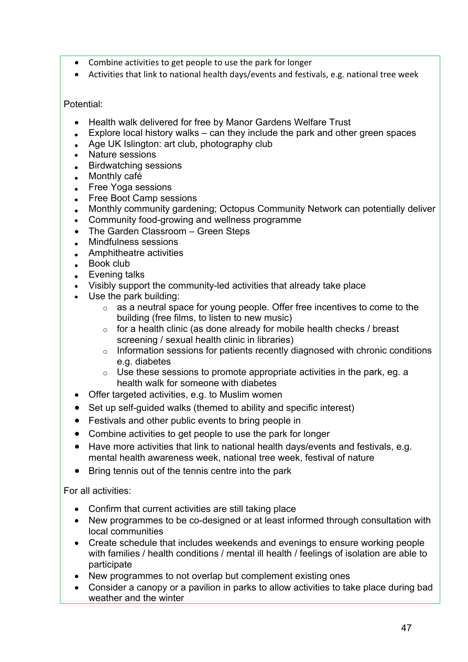- Combine activities to get people to use the park for longer
- Activities that link to national health days/events and festivals, e.g. national tree week

#### Potential:

- Health walk delivered for free by Manor Gardens Welfare Trust
- Explore local history walks can they include the park and other green spaces
- Age UK Islington: art club, photography club
- Nature sessions
- Birdwatching sessions
- Monthly café
- Free Yoga sessions
- Free Boot Camp sessions
- Monthly community gardening; Octopus Community Network can potentially deliver
- Community food-growing and wellness programme
- The Garden Classroom Green Steps
- Mindfulness sessions
- Amphitheatre activities
- Book club
- Evening talks
- Visibly support the community-led activities that already take place
- Use the park building:
	- $\circ$  as a neutral space for young people. Offer free incentives to come to the building (free films, to listen to new music)
	- $\circ$  for a health clinic (as done already for mobile health checks / breast screening / sexual health clinic in libraries)
	- o Information sessions for patients recently diagnosed with chronic conditions e.g. diabetes
	- $\circ$  Use these sessions to promote appropriate activities in the park, eq. a health walk for someone with diabetes
- Offer targeted activities, e.g. to Muslim women
- Set up self-guided walks (themed to ability and specific interest)
- Festivals and other public events to bring people in
- Combine activities to get people to use the park for longer
- Have more activities that link to national health days/events and festivals, e.g. mental health awareness week, national tree week, festival of nature
- Bring tennis out of the tennis centre into the park

For all activities:

- Confirm that current activities are still taking place
- New programmes to be co-designed or at least informed through consultation with local communities
- Create schedule that includes weekends and evenings to ensure working people with families / health conditions / mental ill health / feelings of isolation are able to participate
- New programmes to not overlap but complement existing ones
- Consider a canopy or a pavilion in parks to allow activities to take place during bad weather and the winter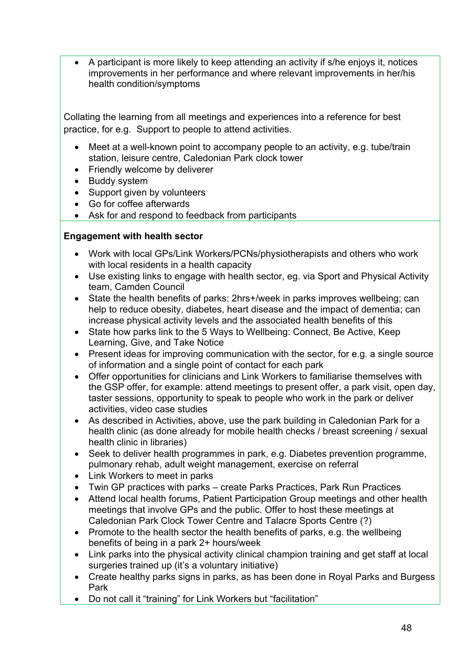A participant is more likely to keep attending an activity if s/he enjoys it, notices improvements in her performance and where relevant improvements in her/his health condition/symptoms

Collating the learning from all meetings and experiences into a reference for best practice, for e.g. Support to people to attend activities.

- Meet at a well-known point to accompany people to an activity, e.g. tube/train station, leisure centre, Caledonian Park clock tower
- Friendly welcome by deliverer
- Buddy system
- Support given by volunteers
- Go for coffee afterwards
- Ask for and respond to feedback from participants

### **Engagement with health sector**

- Work with local GPs/Link Workers/PCNs/physiotherapists and others who work with local residents in a health capacity
- Use existing links to engage with health sector, eg. via Sport and Physical Activity team, Camden Council
- State the health benefits of parks: 2hrs+/week in parks improves wellbeing; can help to reduce obesity, diabetes, heart disease and the impact of dementia; can increase physical activity levels and the associated health benefits of this
- State how parks link to the 5 Ways to Wellbeing: Connect, Be Active, Keep Learning, Give, and Take Notice
- Present ideas for improving communication with the sector, for e.g. a single source of information and a single point of contact for each park
- Offer opportunities for clinicians and Link Workers to familiarise themselves with the GSP offer, for example: attend meetings to present offer, a park visit, open day, taster sessions, opportunity to speak to people who work in the park or deliver activities, video case studies
- As described in Activities, above, use the park building in Caledonian Park for a health clinic (as done already for mobile health checks / breast screening / sexual health clinic in libraries)
- Seek to deliver health programmes in park, e.g. Diabetes prevention programme, pulmonary rehab, adult weight management, exercise on referral
- Link Workers to meet in parks
- Twin GP practices with parks create Parks Practices, Park Run Practices
- Attend local health forums, Patient Participation Group meetings and other health meetings that involve GPs and the public. Offer to host these meetings at Caledonian Park Clock Tower Centre and Talacre Sports Centre (?)
- Promote to the health sector the health benefits of parks, e.g. the wellbeing benefits of being in a park 2+ hours/week
- Link parks into the physical activity clinical champion training and get staff at local surgeries trained up (it's a voluntary initiative)
- Create healthy parks signs in parks, as has been done in Royal Parks and Burgess Park
- Do not call it "training" for Link Workers but "facilitation"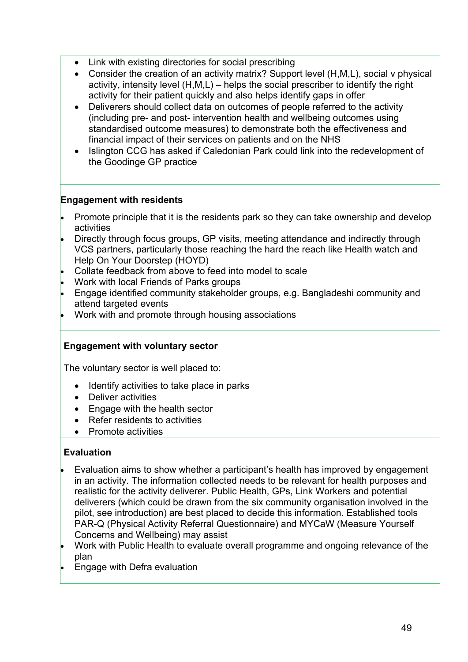- Link with existing directories for social prescribing
- Consider the creation of an activity matrix? Support level (H,M,L), social v physical activity, intensity level (H,M,L) – helps the social prescriber to identify the right activity for their patient quickly and also helps identify gaps in offer
- Deliverers should collect data on outcomes of people referred to the activity (including pre- and post- intervention health and wellbeing outcomes using standardised outcome measures) to demonstrate both the effectiveness and financial impact of their services on patients and on the NHS
- Islington CCG has asked if Caledonian Park could link into the redevelopment of the Goodinge GP practice

### **Engagement with residents**

- Promote principle that it is the residents park so they can take ownership and develop activities
- Directly through focus groups, GP visits, meeting attendance and indirectly through VCS partners, particularly those reaching the hard the reach like Health watch and Help On Your Doorstep (HOYD)
- Collate feedback from above to feed into model to scale
- Work with local Friends of Parks groups
- Engage identified community stakeholder groups, e.g. Bangladeshi community and attend targeted events
- Work with and promote through housing associations

#### **Engagement with voluntary sector**

The voluntary sector is well placed to:

- Identify activities to take place in parks
- Deliver activities
- Engage with the health sector
- Refer residents to activities
- Promote activities

### **Evaluation**

- Evaluation aims to show whether a participant's health has improved by engagement in an activity. The information collected needs to be relevant for health purposes and realistic for the activity deliverer. Public Health, GPs, Link Workers and potential deliverers (which could be drawn from the six community organisation involved in the pilot, see introduction) are best placed to decide this information. Established tools PAR-Q (Physical Activity Referral Questionnaire) and MYCaW (Measure Yourself Concerns and Wellbeing) may assist
- Work with Public Health to evaluate overall programme and ongoing relevance of the plan
- Engage with Defra evaluation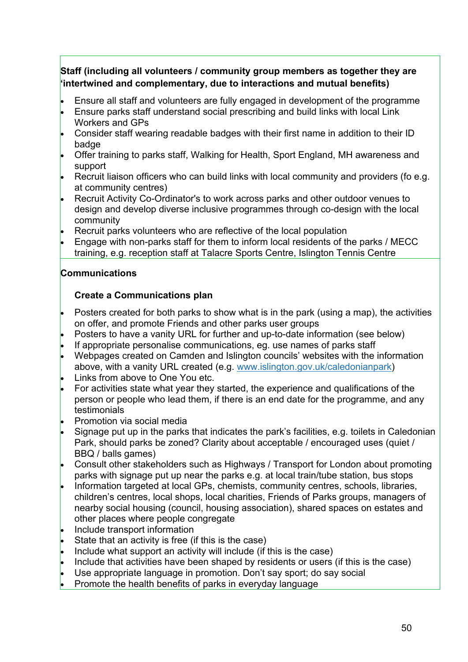### **Staff (including all volunteers / community group members as together they are 'intertwined and complementary, due to interactions and mutual benefits)**

- Ensure all staff and volunteers are fully engaged in development of the programme
- Ensure parks staff understand social prescribing and build links with local Link Workers and GPs
- Consider staff wearing readable badges with their first name in addition to their ID badge
- Offer training to parks staff, Walking for Health, Sport England, MH awareness and support
- Recruit liaison officers who can build links with local community and providers (fo e.g. at community centres)
- Recruit Activity Co-Ordinator's to work across parks and other outdoor venues to design and develop diverse inclusive programmes through co-design with the local community
- Recruit parks volunteers who are reflective of the local population
- Engage with non-parks staff for them to inform local residents of the parks / MECC training, e.g. reception staff at Talacre Sports Centre, Islington Tennis Centre

### **Communications**

### **Create a Communications plan**

- Posters created for both parks to show what is in the park (using a map), the activities on offer, and promote Friends and other parks user groups
- Posters to have a vanity URL for further and up-to-date information (see below)
- If appropriate personalise communications, eg. use names of parks staff
- Webpages created on Camden and Islington councils' websites with the information above, with a vanity URL created (e.g. www.islington.gov.uk/caledonianpark)
- Links from above to One You etc.
- For activities state what year they started, the experience and qualifications of the person or people who lead them, if there is an end date for the programme, and any testimonials
- Promotion via social media
- Signage put up in the parks that indicates the park's facilities, e.g. toilets in Caledonian Park, should parks be zoned? Clarity about acceptable / encouraged uses (quiet / BBQ / balls games)
- Consult other stakeholders such as Highways / Transport for London about promoting parks with signage put up near the parks e.g. at local train/tube station, bus stops
- Information targeted at local GPs, chemists, community centres, schools, libraries, children's centres, local shops, local charities, Friends of Parks groups, managers of nearby social housing (council, housing association), shared spaces on estates and other places where people congregate
- Include transport information
- State that an activity is free (if this is the case)
- Include what support an activity will include (if this is the case)
- Include that activities have been shaped by residents or users (if this is the case)
- Use appropriate language in promotion. Don't say sport; do say social
- Promote the health benefits of parks in everyday language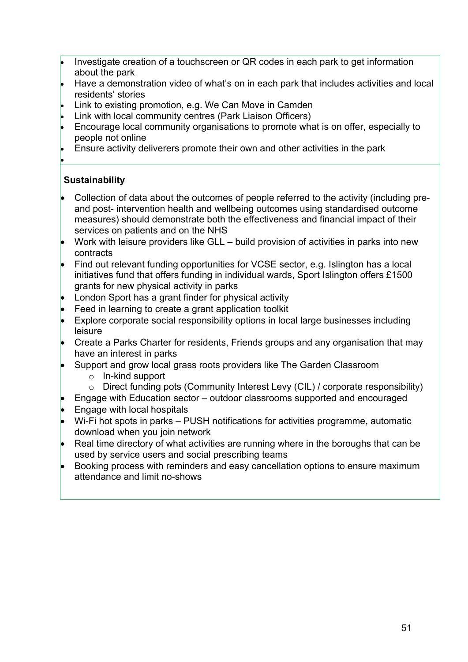- Investigate creation of a touchscreen or QR codes in each park to get information about the park
- Have a demonstration video of what's on in each park that includes activities and local residents' stories
- Link to existing promotion, e.g. We Can Move in Camden
- Link with local community centres (Park Liaison Officers)
- Encourage local community organisations to promote what is on offer, especially to people not online
- Ensure activity deliverers promote their own and other activities in the park

#### **Sustainability**

 $\bullet$ 

- Collection of data about the outcomes of people referred to the activity (including preand post- intervention health and wellbeing outcomes using standardised outcome measures) should demonstrate both the effectiveness and financial impact of their services on patients and on the NHS
- Work with leisure providers like GLL build provision of activities in parks into new contracts
- Find out relevant funding opportunities for VCSE sector, e.g. Islington has a local initiatives fund that offers funding in individual wards, Sport Islington offers £1500 grants for new physical activity in parks
- London Sport has a grant finder for physical activity
- Feed in learning to create a grant application toolkit
- Explore corporate social responsibility options in local large businesses including leisure
- Create a Parks Charter for residents, Friends groups and any organisation that may have an interest in parks
- Support and grow local grass roots providers like The Garden Classroom
	- o In-kind support
	- o Direct funding pots (Community Interest Levy (CIL) / corporate responsibility)
- Engage with Education sector outdoor classrooms supported and encouraged
- Engage with local hospitals
- Wi-Fi hot spots in parks PUSH notifications for activities programme, automatic download when you join network
- Real time directory of what activities are running where in the boroughs that can be used by service users and social prescribing teams
- Booking process with reminders and easy cancellation options to ensure maximum attendance and limit no-shows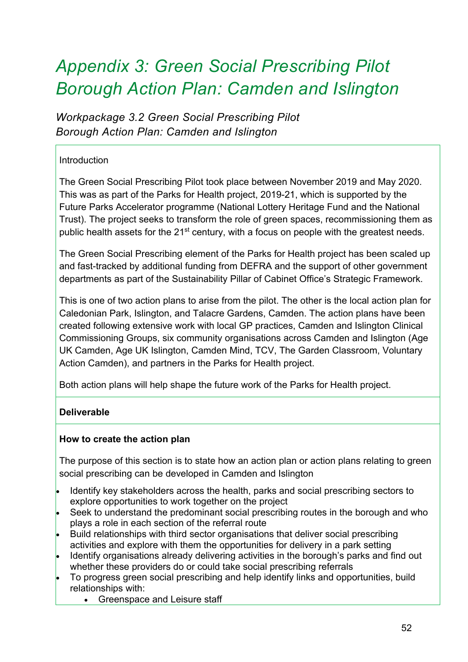# *Appendix 3: Green Social Prescribing Pilot Borough Action Plan: Camden and Islington*

*Workpackage 3.2 Green Social Prescribing Pilot Borough Action Plan: Camden and Islington* 

### Introduction

The Green Social Prescribing Pilot took place between November 2019 and May 2020. This was as part of the Parks for Health project, 2019-21, which is supported by the Future Parks Accelerator programme (National Lottery Heritage Fund and the National Trust). The project seeks to transform the role of green spaces, recommissioning them as public health assets for the 21<sup>st</sup> century, with a focus on people with the greatest needs.

The Green Social Prescribing element of the Parks for Health project has been scaled up and fast-tracked by additional funding from DEFRA and the support of other government departments as part of the Sustainability Pillar of Cabinet Office's Strategic Framework.

This is one of two action plans to arise from the pilot. The other is the local action plan for Caledonian Park, Islington, and Talacre Gardens, Camden. The action plans have been created following extensive work with local GP practices, Camden and Islington Clinical Commissioning Groups, six community organisations across Camden and Islington (Age UK Camden, Age UK Islington, Camden Mind, TCV, The Garden Classroom, Voluntary Action Camden), and partners in the Parks for Health project.

Both action plans will help shape the future work of the Parks for Health project.

#### **Deliverable**

#### **How to create the action plan**

The purpose of this section is to state how an action plan or action plans relating to green social prescribing can be developed in Camden and Islington

- Identify key stakeholders across the health, parks and social prescribing sectors to explore opportunities to work together on the project
- Seek to understand the predominant social prescribing routes in the borough and who plays a role in each section of the referral route
- Build relationships with third sector organisations that deliver social prescribing activities and explore with them the opportunities for delivery in a park setting
- Identify organisations already delivering activities in the borough's parks and find out whether these providers do or could take social prescribing referrals
- To progress green social prescribing and help identify links and opportunities, build relationships with:
	- Greenspace and Leisure staff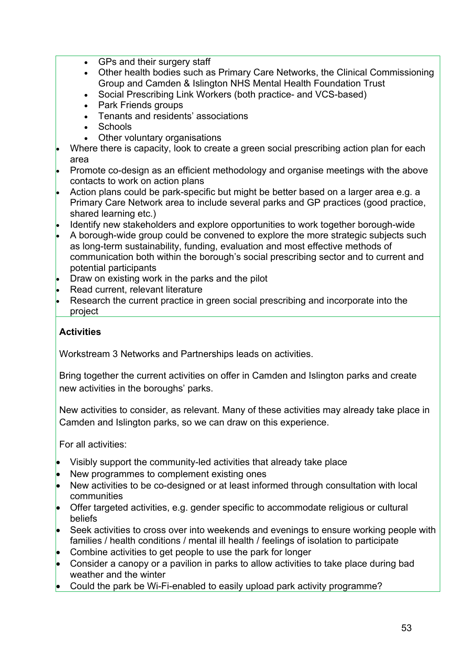- GPs and their surgery staff
- Other health bodies such as Primary Care Networks, the Clinical Commissioning Group and Camden & Islington NHS Mental Health Foundation Trust
- Social Prescribing Link Workers (both practice- and VCS-based)
- Park Friends groups
- Tenants and residents' associations
- **Schools**
- Other voluntary organisations
- Where there is capacity, look to create a green social prescribing action plan for each area
- Promote co-design as an efficient methodology and organise meetings with the above contacts to work on action plans
- Action plans could be park-specific but might be better based on a larger area e.g. a Primary Care Network area to include several parks and GP practices (good practice, shared learning etc.)
- Identify new stakeholders and explore opportunities to work together borough-wide
- A borough-wide group could be convened to explore the more strategic subjects such as long-term sustainability, funding, evaluation and most effective methods of communication both within the borough's social prescribing sector and to current and potential participants
- Draw on existing work in the parks and the pilot
- Read current, relevant literature
- Research the current practice in green social prescribing and incorporate into the project

### **Activities**

Workstream 3 Networks and Partnerships leads on activities.

Bring together the current activities on offer in Camden and Islington parks and create new activities in the boroughs' parks.

New activities to consider, as relevant. Many of these activities may already take place in Camden and Islington parks, so we can draw on this experience.

For all activities:

- Visibly support the community-led activities that already take place
- New programmes to complement existing ones
- New activities to be co-designed or at least informed through consultation with local communities
- Offer targeted activities, e.g. gender specific to accommodate religious or cultural beliefs
- Seek activities to cross over into weekends and evenings to ensure working people with families / health conditions / mental ill health / feelings of isolation to participate
- Combine activities to get people to use the park for longer
- Consider a canopy or a pavilion in parks to allow activities to take place during bad weather and the winter
- Could the park be Wi-Fi-enabled to easily upload park activity programme?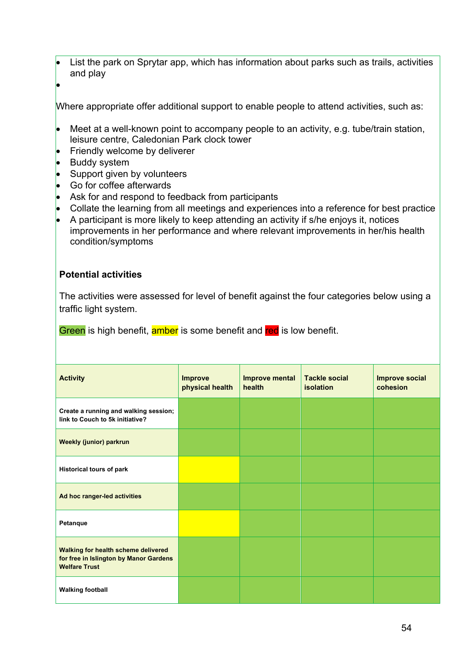- List the park on Sprytar app, which has information about parks such as trails, activities and play
- $\bullet$

Where appropriate offer additional support to enable people to attend activities, such as:

- Meet at a well-known point to accompany people to an activity, e.g. tube/train station, leisure centre, Caledonian Park clock tower
- Friendly welcome by deliverer
- Buddy system
- Support given by volunteers
- Go for coffee afterwards
- Ask for and respond to feedback from participants
- Collate the learning from all meetings and experiences into a reference for best practice
- A participant is more likely to keep attending an activity if s/he enjoys it, notices improvements in her performance and where relevant improvements in her/his health condition/symptoms

#### **Potential activities**

The activities were assessed for level of benefit against the four categories below using a traffic light system.

Green is high benefit, amber is some benefit and red is low benefit.

| <b>Activity</b>                                                                                              | <b>Improve</b><br>physical health | <b>Improve mental</b><br>health | <b>Tackle social</b><br>isolation | <b>Improve social</b><br>cohesion |
|--------------------------------------------------------------------------------------------------------------|-----------------------------------|---------------------------------|-----------------------------------|-----------------------------------|
| Create a running and walking session;<br>link to Couch to 5k initiative?                                     |                                   |                                 |                                   |                                   |
| <b>Weekly (junior) parkrun</b>                                                                               |                                   |                                 |                                   |                                   |
| <b>Historical tours of park</b>                                                                              |                                   |                                 |                                   |                                   |
| Ad hoc ranger-led activities                                                                                 |                                   |                                 |                                   |                                   |
| Petanque                                                                                                     |                                   |                                 |                                   |                                   |
| <b>Walking for health scheme delivered</b><br>for free in Islington by Manor Gardens<br><b>Welfare Trust</b> |                                   |                                 |                                   |                                   |
| <b>Walking football</b>                                                                                      |                                   |                                 |                                   |                                   |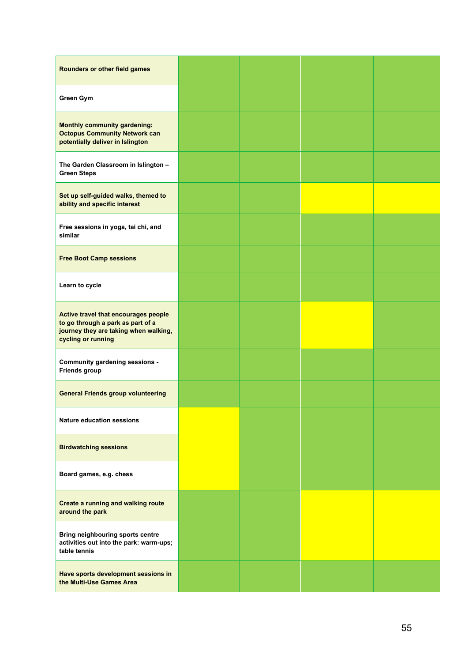| Rounders or other field games                                                                                                            |  |  |
|------------------------------------------------------------------------------------------------------------------------------------------|--|--|
| <b>Green Gym</b>                                                                                                                         |  |  |
| <b>Monthly community gardening:</b><br><b>Octopus Community Network can</b><br>potentially deliver in Islington                          |  |  |
| The Garden Classroom in Islington -<br><b>Green Steps</b>                                                                                |  |  |
| Set up self-guided walks, themed to<br>ability and specific interest                                                                     |  |  |
| Free sessions in yoga, tai chi, and<br>similar                                                                                           |  |  |
| <b>Free Boot Camp sessions</b>                                                                                                           |  |  |
| Learn to cycle                                                                                                                           |  |  |
| Active travel that encourages people<br>to go through a park as part of a<br>journey they are taking when walking,<br>cycling or running |  |  |
| Community gardening sessions -<br><b>Friends group</b>                                                                                   |  |  |
| <b>General Friends group volunteering</b>                                                                                                |  |  |
| <b>Nature education sessions</b>                                                                                                         |  |  |
| <b>Birdwatching sessions</b>                                                                                                             |  |  |
| Board games, e.g. chess                                                                                                                  |  |  |
| <b>Create a running and walking route</b><br>around the park                                                                             |  |  |
| Bring neighbouring sports centre<br>activities out into the park: warm-ups;<br>table tennis                                              |  |  |
| Have sports development sessions in<br>the Multi-Use Games Area                                                                          |  |  |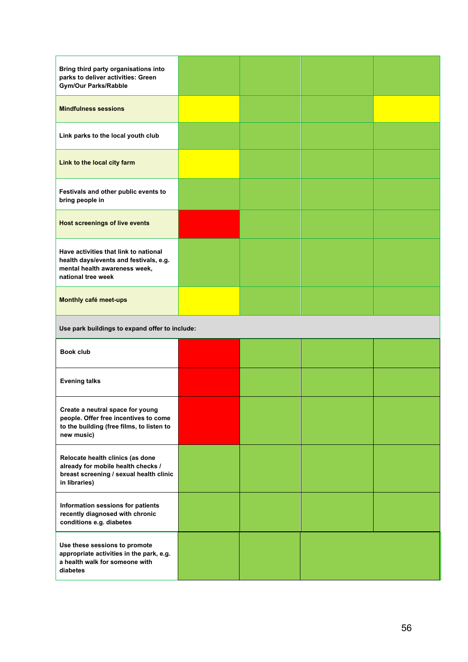| Bring third party organisations into<br>parks to deliver activities: Green<br><b>Gym/Our Parks/Rabble</b>                              |  |  |
|----------------------------------------------------------------------------------------------------------------------------------------|--|--|
| <b>Mindfulness sessions</b>                                                                                                            |  |  |
| Link parks to the local youth club                                                                                                     |  |  |
| Link to the local city farm                                                                                                            |  |  |
| Festivals and other public events to<br>bring people in                                                                                |  |  |
| <b>Host screenings of live events</b>                                                                                                  |  |  |
| Have activities that link to national<br>health days/events and festivals, e.g.<br>mental health awareness week.<br>national tree week |  |  |
| Monthly café meet-ups                                                                                                                  |  |  |
| Use park buildings to expand offer to include:                                                                                         |  |  |
| <b>Book club</b>                                                                                                                       |  |  |
|                                                                                                                                        |  |  |
| <b>Evening talks</b>                                                                                                                   |  |  |
| Create a neutral space for young<br>people. Offer free incentives to come<br>to the building (free films, to listen to<br>new music)   |  |  |
| Relocate health clinics (as done<br>already for mobile health checks /<br>breast screening / sexual health clinic<br>in libraries)     |  |  |
| Information sessions for patients<br>recently diagnosed with chronic<br>conditions e.g. diabetes                                       |  |  |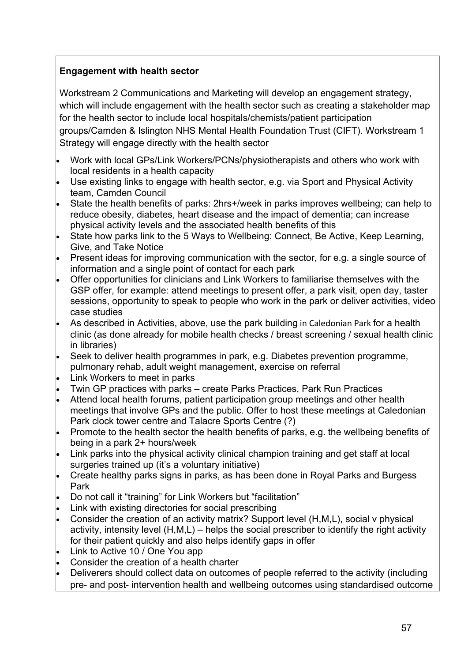### **Engagement with health sector**

Workstream 2 Communications and Marketing will develop an engagement strategy, which will include engagement with the health sector such as creating a stakeholder map for the health sector to include local hospitals/chemists/patient participation groups/Camden & Islington NHS Mental Health Foundation Trust (CIFT). Workstream 1 Strategy will engage directly with the health sector

- Work with local GPs/Link Workers/PCNs/physiotherapists and others who work with local residents in a health capacity
- Use existing links to engage with health sector, e.g. via Sport and Physical Activity team, Camden Council
- State the health benefits of parks: 2hrs+/week in parks improves wellbeing; can help to reduce obesity, diabetes, heart disease and the impact of dementia; can increase physical activity levels and the associated health benefits of this
- State how parks link to the 5 Ways to Wellbeing: Connect, Be Active, Keep Learning, Give, and Take Notice
- Present ideas for improving communication with the sector, for e.g. a single source of information and a single point of contact for each park
- Offer opportunities for clinicians and Link Workers to familiarise themselves with the GSP offer, for example: attend meetings to present offer, a park visit, open day, taster sessions, opportunity to speak to people who work in the park or deliver activities, video case studies
- As described in Activities, above, use the park building in Caledonian Park for a health clinic (as done already for mobile health checks / breast screening / sexual health clinic in libraries)
- Seek to deliver health programmes in park, e.g. Diabetes prevention programme, pulmonary rehab, adult weight management, exercise on referral
- Link Workers to meet in parks
- Twin GP practices with parks create Parks Practices, Park Run Practices
- Attend local health forums, patient participation group meetings and other health meetings that involve GPs and the public. Offer to host these meetings at Caledonian Park clock tower centre and Talacre Sports Centre (?)
- Promote to the health sector the health benefits of parks, e.g. the wellbeing benefits of being in a park 2+ hours/week
- Link parks into the physical activity clinical champion training and get staff at local surgeries trained up (it's a voluntary initiative)
- Create healthy parks signs in parks, as has been done in Royal Parks and Burgess Park
- Do not call it "training" for Link Workers but "facilitation"
- Link with existing directories for social prescribing
- Consider the creation of an activity matrix? Support level (H,M,L), social v physical activity, intensity level (H,M,L) – helps the social prescriber to identify the right activity for their patient quickly and also helps identify gaps in offer
- Link to Active 10 / One You app
- Consider the creation of a health charter
- Deliverers should collect data on outcomes of people referred to the activity (including pre- and post- intervention health and wellbeing outcomes using standardised outcome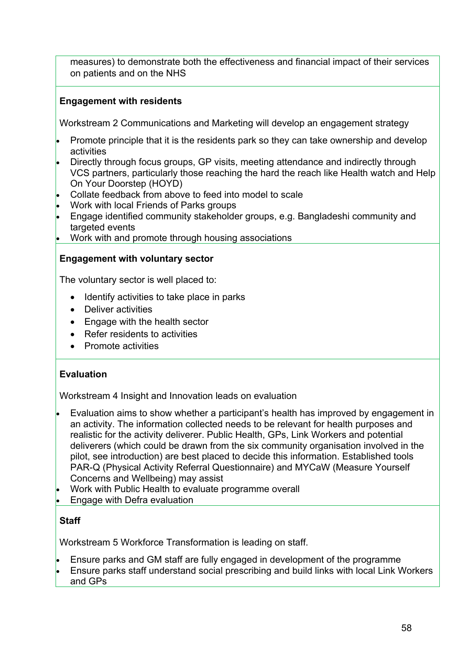measures) to demonstrate both the effectiveness and financial impact of their services on patients and on the NHS

#### **Engagement with residents**

Workstream 2 Communications and Marketing will develop an engagement strategy

- Promote principle that it is the residents park so they can take ownership and develop activities
- Directly through focus groups, GP visits, meeting attendance and indirectly through VCS partners, particularly those reaching the hard the reach like Health watch and Help On Your Doorstep (HOYD)
- Collate feedback from above to feed into model to scale
- Work with local Friends of Parks groups
- Engage identified community stakeholder groups, e.g. Bangladeshi community and targeted events
- Work with and promote through housing associations

### **Engagement with voluntary sector**

The voluntary sector is well placed to:

- Identify activities to take place in parks
- Deliver activities
- Engage with the health sector
- Refer residents to activities
- Promote activities

#### **Evaluation**

Workstream 4 Insight and Innovation leads on evaluation

- Evaluation aims to show whether a participant's health has improved by engagement in an activity. The information collected needs to be relevant for health purposes and realistic for the activity deliverer. Public Health, GPs, Link Workers and potential deliverers (which could be drawn from the six community organisation involved in the pilot, see introduction) are best placed to decide this information. Established tools PAR-Q (Physical Activity Referral Questionnaire) and MYCaW (Measure Yourself Concerns and Wellbeing) may assist
- Work with Public Health to evaluate programme overall
- Engage with Defra evaluation

## **Staff**

Workstream 5 Workforce Transformation is leading on staff.

- Ensure parks and GM staff are fully engaged in development of the programme
- Ensure parks staff understand social prescribing and build links with local Link Workers and GPs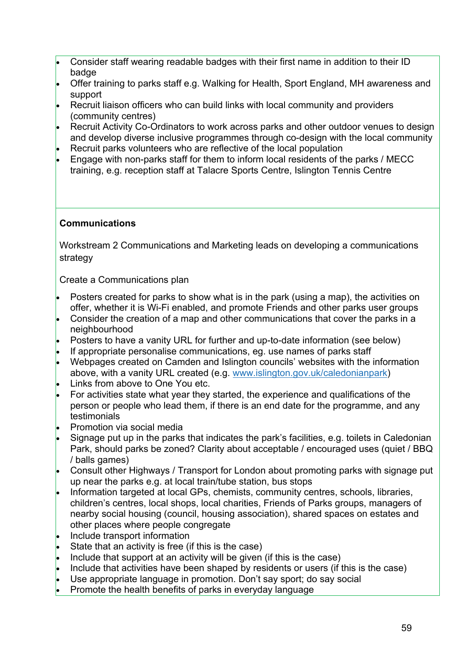- Consider staff wearing readable badges with their first name in addition to their ID badge
- Offer training to parks staff e.g. Walking for Health, Sport England, MH awareness and support
- Recruit liaison officers who can build links with local community and providers (community centres)
- Recruit Activity Co-Ordinators to work across parks and other outdoor venues to design and develop diverse inclusive programmes through co-design with the local community
- Recruit parks volunteers who are reflective of the local population
- Engage with non-parks staff for them to inform local residents of the parks / MECC training, e.g. reception staff at Talacre Sports Centre, Islington Tennis Centre

### **Communications**

Workstream 2 Communications and Marketing leads on developing a communications strategy

Create a Communications plan

- Posters created for parks to show what is in the park (using a map), the activities on offer, whether it is Wi-Fi enabled, and promote Friends and other parks user groups
- Consider the creation of a map and other communications that cover the parks in a neighbourhood
- Posters to have a vanity URL for further and up-to-date information (see below)
- If appropriate personalise communications, eg. use names of parks staff
- Webpages created on Camden and Islington councils' websites with the information above, with a vanity URL created (e.g. www.islington.gov.uk/caledonianpark)
- Links from above to One You etc.
- For activities state what year they started, the experience and qualifications of the person or people who lead them, if there is an end date for the programme, and any testimonials
- Promotion via social media
- Signage put up in the parks that indicates the park's facilities, e.g. toilets in Caledonian Park, should parks be zoned? Clarity about acceptable / encouraged uses (quiet / BBQ / balls games)
- Consult other Highways / Transport for London about promoting parks with signage put up near the parks e.g. at local train/tube station, bus stops
- Information targeted at local GPs, chemists, community centres, schools, libraries, children's centres, local shops, local charities, Friends of Parks groups, managers of nearby social housing (council, housing association), shared spaces on estates and other places where people congregate
- Include transport information
- State that an activity is free (if this is the case)
- Include that support at an activity will be given (if this is the case)
- Include that activities have been shaped by residents or users (if this is the case)
- Use appropriate language in promotion. Don't say sport; do say social
- Promote the health benefits of parks in everyday language